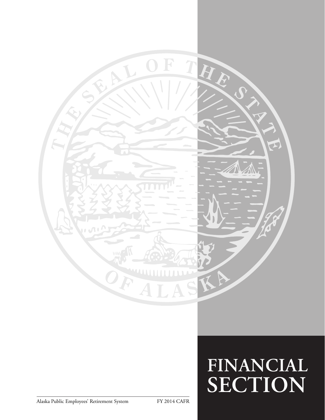

# **FINANCIAL SECTION**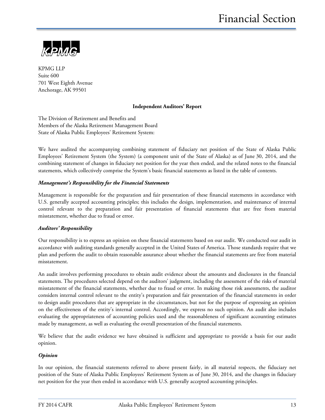

KPMG LLP Suite 600 701 West Eighth Avenue Anchorage, AK 99501

### **Independent Auditors' Report**

The Division of Retirement and Benefits and Members of the Alaska Retirement Management Board State of Alaska Public Employees' Retirement System:

We have audited the accompanying combining statement of fiduciary net position of the State of Alaska Public Employees' Retirement System (the System) (a component unit of the State of Alaska) as of June 30, 2014, and the combining statement of changes in fiduciary net position for the year then ended, and the related notes to the financial statements, which collectively comprise the System's basic financial statements as listed in the table of contents.

### *Management's Responsibility for the Financial Statements*

Management is responsible for the preparation and fair presentation of these financial statements in accordance with U.S. generally accepted accounting principles; this includes the design, implementation, and maintenance of internal control relevant to the preparation and fair presentation of financial statements that are free from material misstatement, whether due to fraud or error.

### *Auditors' Responsibility*

Our responsibility is to express an opinion on these financial statements based on our audit. We conducted our audit in accordance with auditing standards generally accepted in the United States of America. Those standards require that we plan and perform the audit to obtain reasonable assurance about whether the financial statements are free from material misstatement.

An audit involves performing procedures to obtain audit evidence about the amounts and disclosures in the financial statements. The procedures selected depend on the auditors' judgment, including the assessment of the risks of material misstatement of the financial statements, whether due to fraud or error. In making those risk assessments, the auditor considers internal control relevant to the entity's preparation and fair presentation of the financial statements in order to design audit procedures that are appropriate in the circumstances, but not for the purpose of expressing an opinion on the effectiveness of the entity's internal control. Accordingly, we express no such opinion. An audit also includes evaluating the appropriateness of accounting policies used and the reasonableness of significant accounting estimates made by management, as well as evaluating the overall presentation of the financial statements.

We believe that the audit evidence we have obtained is sufficient and appropriate to provide a basis for our audit opinion.

### *Opinion*

In our opinion, the financial statements referred to above present fairly, in all material respects, the fiduciary net position of the State of Alaska Public Employees' Retirement System as of June 30, 2014, and the changes in fiduciary net position for the year then ended in accordance with U.S. generally accepted accounting principles.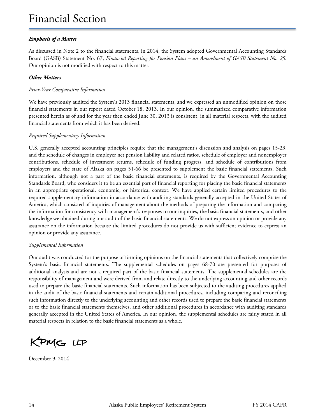### *Emphasis of a Matter*

As discussed in Note 2 to the financial statements, in 2014, the System adopted Governmental Accounting Standards Board (GASB) Statement No. 67, *Financial Reporting for Pension Plans – an Amendment of GASB Statement No. 25*. Our opinion is not modified with respect to this matter.

### *Other Matters*

### *Prior-Year Comparative Information*

We have previously audited the System's 2013 financial statements, and we expressed an unmodified opinion on those financial statements in our report dated October 18, 2013. In our opinion, the summarized comparative information presented herein as of and for the year then ended June 30, 2013 is consistent, in all material respects, with the audited financial statements from which it has been derived.

### *Required Supplementary Information*

U.S. generally accepted accounting principles require that the management's discussion and analysis on pages 15-23, and the schedule of changes in employer net pension liability and related ratios, schedule of employer and nonemployer contributions, schedule of investment returns, schedule of funding progress, and schedule of contributions from employers and the state of Alaska on pages 51-66 be presented to supplement the basic financial statements. Such information, although not a part of the basic financial statements, is required by the Governmental Accounting Standards Board, who considers it to be an essential part of financial reporting for placing the basic financial statements in an appropriate operational, economic, or historical context. We have applied certain limited procedures to the required supplementary information in accordance with auditing standards generally accepted in the United States of America, which consisted of inquiries of management about the methods of preparing the information and comparing the information for consistency with management's responses to our inquiries, the basic financial statements, and other knowledge we obtained during our audit of the basic financial statements. We do not express an opinion or provide any assurance on the information because the limited procedures do not provide us with sufficient evidence to express an opinion or provide any assurance.

### *Supplemental Information*

Our audit was conducted for the purpose of forming opinions on the financial statements that collectively comprise the System's basic financial statements. The supplemental schedules on pages 68-70 are presented for purposes of additional analysis and are not a required part of the basic financial statements. The supplemental schedules are the responsibility of management and were derived from and relate directly to the underlying accounting and other records used to prepare the basic financial statements. Such information has been subjected to the auditing procedures applied in the audit of the basic financial statements and certain additional procedures, including comparing and reconciling such information directly to the underlying accounting and other records used to prepare the basic financial statements or to the basic financial statements themselves, and other additional procedures in accordance with auditing standards generally accepted in the United States of America. In our opinion, the supplemental schedules are fairly stated in all material respects in relation to the basic financial statements as a whole.

KPMG LLP

December 9, 2014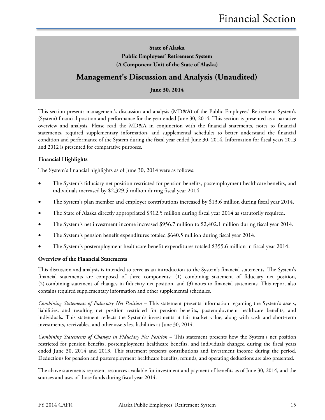# **Management's Discussion and Analysis (Unaudited)**

**June 30, 2014**

This section presents management's discussion and analysis (MD&A) of the Public Employees' Retirement System's (System) financial position and performance for the year ended June 30, 2014. This section is presented as a narrative overview and analysis. Please read the MD&A in conjunction with the financial statements, notes to financial statements, required supplementary information, and supplemental schedules to better understand the financial condition and performance of the System during the fiscal year ended June 30, 2014. Information for fiscal years 2013 and 2012 is presented for comparative purposes.

### **Financial Highlights**

The System's financial highlights as of June 30, 2014 were as follows:

- The System's fiduciary net position restricted for pension benefits, postemployment healthcare benefits, and individuals increased by \$2,329.5 million during fiscal year 2014.
- The System's plan member and employer contributions increased by \$13.6 million during fiscal year 2014.
- The State of Alaska directly appropriated \$312.5 million during fiscal year 2014 as statutorily required.
- The System's net investment income increased \$956.7 million to \$2,402.1 million during fiscal year 2014.
- The System's pension benefit expenditures totaled \$640.5 million during fiscal year 2014.
- The System's postemployment healthcare benefit expenditures totaled \$355.6 million in fiscal year 2014.

### **Overview of the Financial Statements**

This discussion and analysis is intended to serve as an introduction to the System's financial statements. The System's financial statements are composed of three components: (1) combining statement of fiduciary net position, (2) combining statement of changes in fiduciary net position, and (3) notes to financial statements. This report also contains required supplementary information and other supplemental schedules.

*Combining Statements of Fiduciary Net Position* – This statement presents information regarding the System's assets, liabilities, and resulting net position restricted for pension benefits, postemployment healthcare benefits, and individuals. This statement reflects the System's investments at fair market value, along with cash and short-term investments, receivables, and other assets less liabilities at June 30, 2014.

*Combining Statements of Changes in Fiduciary Net Position* – This statement presents how the System's net position restricted for pension benefits, postemployment healthcare benefits, and individuals changed during the fiscal years ended June 30, 2014 and 2013. This statement presents contributions and investment income during the period. Deductions for pension and postemployment healthcare benefits, refunds, and operating deductions are also presented.

The above statements represent resources available for investment and payment of benefits as of June 30, 2014, and the sources and uses of those funds during fiscal year 2014.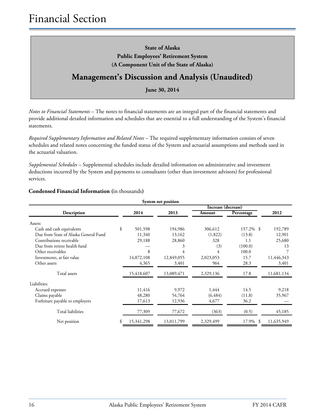# **Management's Discussion and Analysis (Unaudited)**

**June 30, 2014**

*Notes to Financial Statements* – The notes to financial statements are an integral part of the financial statements and provide additional detailed information and schedules that are essential to a full understanding of the System's financial statements.

*Required Supplementary Information and Related Notes* – The required supplementary information consists of seven schedules and related notes concerning the funded status of the System and actuarial assumptions and methods used in the actuarial valuation.

*Supplemental Schedules* – Supplemental schedules include detailed information on administrative and investment deductions incurred by the System and payments to consultants (other than investment advisors) for professional services.

### **Condensed Financial Information (**in thousands**)**

|                                       | System net position |            |            |           |            |            |  |  |  |
|---------------------------------------|---------------------|------------|------------|-----------|------------|------------|--|--|--|
| Increase (decrease)                   |                     |            |            |           |            |            |  |  |  |
| Description                           |                     | 2014       | 2013       | Amount    | Percentage | 2012       |  |  |  |
| Assets:                               |                     |            |            |           |            |            |  |  |  |
| Cash and cash equivalents             | \$                  | 501,598    | 194,986    | 306,612   | 157.2% \$  | 192,789    |  |  |  |
| Due from State of Alaska General Fund |                     | 11,340     | 13,162     | (1,822)   | (13.8)     | 12,901     |  |  |  |
| Contributions receivable              |                     | 29,188     | 28,860     | 328       | 1.1        | 25,680     |  |  |  |
| Due from retiree health fund          |                     |            | 3          | (3)       | (100.0)    | 13         |  |  |  |
| Other receivables                     |                     | 8          |            |           | 100.0      |            |  |  |  |
| Investments, at fair value            |                     | 14,872,108 | 12,849,055 | 2,023,053 | 15.7       | 11,446,343 |  |  |  |
| Other assets                          |                     | 4,365      | 3,401      | 964       | 28.3       | 3,401      |  |  |  |
| Total assets                          |                     | 15,418,607 | 13,089,471 | 2,329,136 | 17.8       | 11,681,134 |  |  |  |
| Liabilities:                          |                     |            |            |           |            |            |  |  |  |
| Accrued expenses                      |                     | 11,416     | 9,972      | 1,444     | 14.5       | 9,218      |  |  |  |
| Claims payable                        |                     | 48,280     | 54,764     | (6, 484)  | (11.8)     | 35,967     |  |  |  |
| Forfeiture payable to employers       |                     | 17,613     | 12,936     | 4,677     | 36.2       |            |  |  |  |
| <b>Total liabilities</b>              |                     | 77,309     | 77,672     | (363)     | (0.5)      | 45,185     |  |  |  |
| Net position                          |                     | 15,341,298 | 13,011,799 | 2,329,499 | 17.9% \$   | 11,635,949 |  |  |  |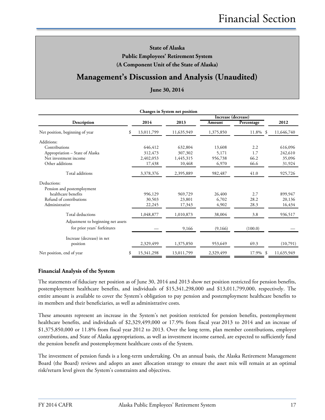# **Management's Discussion and Analysis (Unaudited)**

### **June 30, 2014**

| <b>Changes in System net position</b> |            |            |                     |               |            |  |  |
|---------------------------------------|------------|------------|---------------------|---------------|------------|--|--|
|                                       |            |            | Increase (decrease) |               |            |  |  |
| Description                           | 2014       | 2013       | Amount              | Percentage    | 2012       |  |  |
| Net position, beginning of year<br>\$ | 13,011,799 | 11,635,949 | 1,375,850           | 11.8% \$      | 11,646,740 |  |  |
| Additions:                            |            |            |                     |               |            |  |  |
| Contributions                         | 646,412    | 632,804    | 13,608              | 2.2           | 616,096    |  |  |
| Appropriation - State of Alaska       | 312,473    | 307,302    | 5,171               | 1.7           | 242,610    |  |  |
| Net investment income                 | 2,402,053  | 1,445,315  | 956,738             | 66.2          | 35,096     |  |  |
| Other additions                       | 17,438     | 10,468     | 6,970               | 66.6          | 31,924     |  |  |
| Total additions                       | 3,378,376  | 2,395,889  | 982,487             | 41.0          | 925,726    |  |  |
| Deductions:                           |            |            |                     |               |            |  |  |
| Pension and postemployment            |            |            |                     |               |            |  |  |
| healthcare benefits                   | 996,129    | 969,729    | 26,400              | 2.7           | 899,947    |  |  |
| Refund of contributions               | 30,503     | 23,801     | 6,702               | 28.2          | 20,136     |  |  |
| Administrative                        | 22,245     | 17,343     | 4,902               | 28.3          | 16,434     |  |  |
| Total deductions                      | 1,048,877  | 1,010,873  | 38,004              | 3.8           | 936,517    |  |  |
| Adjustment to beginning net assets    |            |            |                     |               |            |  |  |
| for prior years' forfeitures          |            | 9,166      | (9,166)             | (100.0)       |            |  |  |
| Increase (decrease) in net            |            |            |                     |               |            |  |  |
| position                              | 2,329,499  | 1,375,850  | 953,649             | 69.3          | (10,791)   |  |  |
| Net position, end of year<br>\$       | 15,341,298 | 13,011,799 | 2,329,499           | 17.9%<br>- \$ | 11,635,949 |  |  |

### **Financial Analysis of the System**

The statements of fiduciary net position as of June 30, 2014 and 2013 show net position restricted for pension benefits, postemployment healthcare benefits, and individuals of \$15,341,298,000 and \$13,011,799,000, respectively. The entire amount is available to cover the System's obligation to pay pension and postemployment healthcare benefits to its members and their beneficiaries, as well as administrative costs.

These amounts represent an increase in the System's net position restricted for pension benefits, postemployment healthcare benefits, and individuals of \$2,329,499,000 or 17.9% from fiscal year 2013 to 2014 and an increase of \$1,375,850,000 or 11.8% from fiscal year 2012 to 2013. Over the long term, plan member contributions, employer contributions, and State of Alaska appropriations, as well as investment income earned, are expected to sufficiently fund the pension benefit and postemployment healthcare costs of the System.

The investment of pension funds is a long-term undertaking. On an annual basis, the Alaska Retirement Management Board (the Board) reviews and adopts an asset allocation strategy to ensure the asset mix will remain at an optimal risk/return level given the System's constraints and objectives.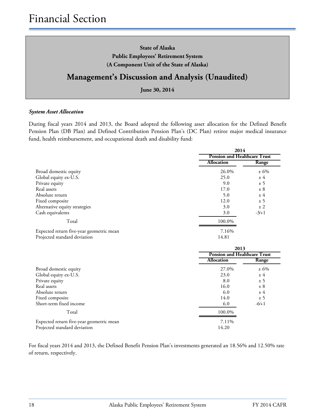# **Management's Discussion and Analysis (Unaudited)**

**June 30, 2014**

### *System Asset Allocation*

During fiscal years 2014 and 2013, the Board adopted the following asset allocation for the Defined Benefit Pension Plan (DB Plan) and Defined Contribution Pension Plan's (DC Plan) retiree major medical insurance fund, health reimbursement, and occupational death and disability fund:

|                                          | 2014              |                                     |  |  |  |
|------------------------------------------|-------------------|-------------------------------------|--|--|--|
|                                          |                   | <b>Pension and Healthcare Trust</b> |  |  |  |
|                                          | <b>Allocation</b> | Range                               |  |  |  |
| Broad domestic equity                    | 26.0%             | $± 6\%$                             |  |  |  |
| Global equity ex-U.S.                    | 25.0              | ± 4                                 |  |  |  |
| Private equity                           | 9.0               | ± 5                                 |  |  |  |
| Real assets                              | 17.0              | ± 8                                 |  |  |  |
| Absolute return                          | 5.0               | ± 4                                 |  |  |  |
| Fixed composite                          | 12.0              | ± 5                                 |  |  |  |
| Alternative equity strategies            | 3.0               | ± 2                                 |  |  |  |
| Cash equivalents                         | 3.0               | $-3/1$                              |  |  |  |
| Total                                    | 100.0%            |                                     |  |  |  |
| Expected return five-year geometric mean | 7.16%             |                                     |  |  |  |
| Projected standard deviation             | 14.81             |                                     |  |  |  |
|                                          |                   |                                     |  |  |  |

|                                          | 2013                         |        |  |
|------------------------------------------|------------------------------|--------|--|
|                                          | Pension and Healthcare Trust |        |  |
|                                          | <b>Allocation</b>            | Range  |  |
| Broad domestic equity                    | 27.0%                        | ± 6%   |  |
| Global equity ex-U.S.                    | 23.0                         | ± 4    |  |
| Private equity                           | 8.0                          | ± 5    |  |
| Real assets                              | 16.0                         | ± 8    |  |
| Absolute return                          | 6.0                          | ± 4    |  |
| Fixed composite                          | 14.0                         | ± 5    |  |
| Short-term fixed income                  | 6.0                          | $-6/1$ |  |
| Total                                    | 100.0%                       |        |  |
| Expected return five-year geometric mean | 7.11%                        |        |  |
| Projected standard deviation             | 14.20                        |        |  |

For fiscal years 2014 and 2013, the Defined Benefit Pension Plan's investments generated an 18.56% and 12.50% rate of return, respectively.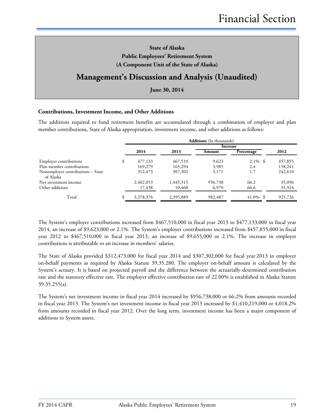# **Management's Discussion and Analysis (Unaudited)**

**June 30, 2014**

#### **Contributions, Investment Income, and Other Additions**

The additions required to fund retirement benefits are accumulated through a combination of employer and plan member contributions, State of Alaska appropriation, investment income, and other additions as follows:

|                                                | <b>Additions</b> (In thousands) |           |                 |               |         |  |  |
|------------------------------------------------|---------------------------------|-----------|-----------------|---------------|---------|--|--|
|                                                |                                 |           | <b>Increase</b> |               |         |  |  |
|                                                | 2014                            | 2013      | Amount          | Percentage    | 2012    |  |  |
| <b>Employer contributions</b>                  | \$<br>477,133                   | 467,510   | 9,623           | $2.1\%$ \$    | 457,855 |  |  |
| Plan member contributions                      | 169,279                         | 165,294   | 3,985           | 2.4           | 158,241 |  |  |
| Nonemployer contributions – State<br>of Alaska | 312,473                         | 307,302   | 5,171           | 1.7           | 242,610 |  |  |
| Net investment income                          | 2,402,053                       | 1,445,315 | 956,738         | 66.2          | 35,096  |  |  |
| Other additions                                | 17,438                          | 10,468    | 6,970           | 66.6          | 31,924  |  |  |
| Total                                          | 3,378,376                       | 2,395,889 | 982,487         | 41.0%<br>- \$ | 925,726 |  |  |

The System's employer contributions increased from \$467,510,000 in fiscal year 2013 to \$477,133,000 in fiscal year 2014, an increase of \$9,623,000 or 2.1%. The System's employer contributions increased from \$457,855,000 in fiscal year 2012 to \$467,510,000 in fiscal year 2013, an increase of \$9,655,000 or 2.1%. The increase in employer contributions is attributable to an increase in members' salaries.

The State of Alaska provided \$312,473,000 for fiscal year 2014 and \$307,302,000 for fiscal year 2013 in employer on-behalf payments as required by Alaska Statute 39.35.280. The employer on-behalf amount is calculated by the System's actuary. It is based on projected payroll and the difference between the actuarially determined contribution rate and the statutory effective rate. The employer effective contribution rate of 22.00% is established in Alaska Statute 39.35.255(a).

The System's net investment income in fiscal year 2014 increased by \$956,738,000 or 66.2% from amounts recorded in fiscal year 2013. The System's net investment income in fiscal year 2013 increased by \$1,410,219,000 or 4,018.2% from amounts recorded in fiscal year 2012. Over the long term, investment income has been a major component of additions to System assets.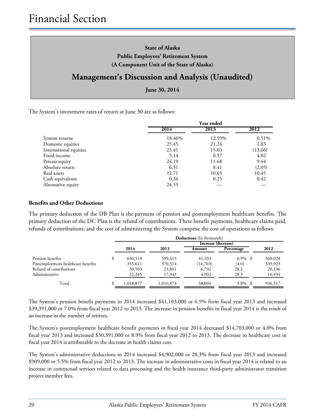# **Management's Discussion and Analysis (Unaudited)**

**June 30, 2014**

The System's investment rates of return at June 30 are as follows:

|                        | Year ended |        |         |  |  |  |
|------------------------|------------|--------|---------|--|--|--|
|                        | 2014       | 2013   | 2012    |  |  |  |
| System returns         | 18.46%     | 12.59% | 0.51%   |  |  |  |
| Domestic equities      | 25.45      | 21.24  | 1.83    |  |  |  |
| International equities | 23.41      | 15.03  | (13.66) |  |  |  |
| Fixed income           | 5.14       | 0.57   | 4.82    |  |  |  |
| Private equity         | 24.19      | 11.68  | 9.44    |  |  |  |
| Absolute return        | 6.51       | 8.41   | (2.05)  |  |  |  |
| Real assets            | 12.71      | 10.65  | 10.45   |  |  |  |
| Cash equivalents       | 0.26       | 0.25   | 0.42    |  |  |  |
| Alternative equity     | 24.55      |        |         |  |  |  |

### **Benefits and Other Deductions**

The primary deduction of the DB Plan is the payment of pension and postemployment healthcare benefits. The primary deduction of the DC Plan is the refund of contributions. These benefit payments, healthcare claims paid, refunds of contributions, and the cost of administering the System comprise the cost of operations as follows:

|                                    |   | <b>Deductions</b> (In thousands) |           |                     |            |         |  |  |  |
|------------------------------------|---|----------------------------------|-----------|---------------------|------------|---------|--|--|--|
|                                    |   |                                  |           | Increase (decrease) |            |         |  |  |  |
|                                    |   | 2014                             | 2013      | Amount              | Percentage | 2012    |  |  |  |
| Pension benefits                   | S | 640,518                          | 599,415   | 41,103              | $6.9\%$ \$ | 560,024 |  |  |  |
| Postemployment healthcare benefits |   | 355,611                          | 370,314   | (14,703)            | (4.0)      | 339,923 |  |  |  |
| Refund of contributions            |   | 30,503                           | 23,801    | 6,702               | 28.2       | 20,136  |  |  |  |
| Administrative                     |   | 22,245                           | 17,343    | 4,902               | 28.3       | 16,434  |  |  |  |
| Total                              |   | 1,048,877                        | 1,010,873 | 38,004              | $3.8\%$ \$ | 936,517 |  |  |  |

The System's pension benefit payments in 2014 increased \$41,103,000 or 6.9% from fiscal year 2013 and increased \$39,391,000 or 7.0% from fiscal year 2012 to 2013. The increase in pension benefits in fiscal year 2014 is the result of an increase in the number of retirees.

The System's postemployment healthcare benefit payments in fiscal year 2014 decreased \$14,703,000 or 4.0% from fiscal year 2013 and increased \$30,391,000 or 8.9% from fiscal year 2012 to 2013. The decrease in healthcare cost in fiscal year 2014 is attributable to the decrease in health claims cost.

The System's administrative deductions in 2014 increased \$4,902,000 or 28.3% from fiscal year 2013 and increased \$909,000 or 5.5% from fiscal year 2012 to 2013. The increase in administrative costs in fiscal year 2014 is related to an increase in contractual services related to data processing and the health insurance third-party administrator transition project member fees.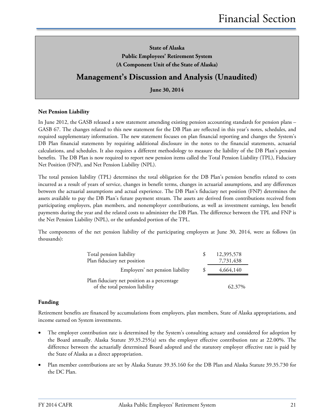# **Management's Discussion and Analysis (Unaudited)**

**June 30, 2014**

### **Net Pension Liability**

In June 2012, the GASB released a new statement amending existing pension accounting standards for pension plans – GASB 67. The changes related to this new statement for the DB Plan are reflected in this year's notes, schedules, and required supplementary information. The new statement focuses on plan financial reporting and changes the System's DB Plan financial statements by requiring additional disclosure in the notes to the financial statements, actuarial calculations, and schedules. It also requires a different methodology to measure the liability of the DB Plan's pension benefits. The DB Plan is now required to report new pension items called the Total Pension Liability (TPL), Fiduciary Net Position (FNP), and Net Pension Liability (NPL).

The total pension liability (TPL) determines the total obligation for the DB Plan's pension benefits related to costs incurred as a result of years of service, changes in benefit terms, changes in actuarial assumptions, and any differences between the actuarial assumptions and actual experience. The DB Plan's fiduciary net position (FNP) determines the assets available to pay the DB Plan's future payment stream. The assets are derived from contributions received from participating employers, plan members, and nonemployer contributions, as well as investment earnings, less benefit payments during the year and the related costs to administer the DB Plan. The difference between the TPL and FNP is the Net Pension Liability (NPL), or the unfunded portion of the TPL.

The components of the net pension liability of the participating employers at June 30, 2014, were as follows (in thousands):

| Total pension liability                                                       | 12,395,578 |
|-------------------------------------------------------------------------------|------------|
| Plan fiduciary net position                                                   | 7,731,438  |
| Employers' net pension liability                                              | 4,664,140  |
| Plan fiduciary net position as a percentage<br>of the total pension liability | 62.37%     |

### **Funding**

Retirement benefits are financed by accumulations from employers, plan members, State of Alaska appropriations, and income earned on System investments.

- The employer contribution rate is determined by the System's consulting actuary and considered for adoption by the Board annually. Alaska Statute 39.35.255(a) sets the employer effective contribution rate at 22.00%. The difference between the actuarially determined Board adopted and the statutory employer effective rate is paid by the State of Alaska as a direct appropriation.
- Plan member contributions are set by Alaska Statute 39.35.160 for the DB Plan and Alaska Statute 39.35.730 for the DC Plan.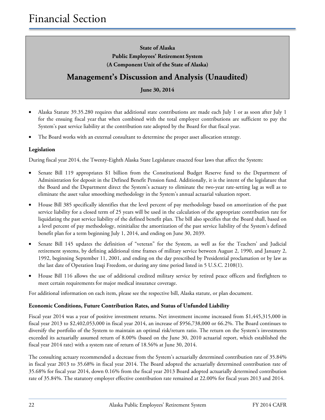# **Management's Discussion and Analysis (Unaudited)**

**June 30, 2014**

- Alaska Statute 39.35.280 requires that additional state contributions are made each July 1 or as soon after July 1 for the ensuing fiscal year that when combined with the total employer contributions are sufficient to pay the System's past service liability at the contribution rate adopted by the Board for that fiscal year.
- The Board works with an external consultant to determine the proper asset allocation strategy.

### **Legislation**

During fiscal year 2014, the Twenty-Eighth Alaska State Legislature enacted four laws that affect the System:

- Senate Bill 119 appropriates \$1 billion from the Constitutional Budget Reserve fund to the Department of Administration for deposit in the Defined Benefit Pension fund. Additionally, it is the intent of the legislature that the Board and the Department direct the System's actuary to eliminate the two-year rate-setting lag as well as to eliminate the asset value smoothing methodology in the System's annual actuarial valuation report.
- House Bill 385 specifically identifies that the level percent of pay methodology based on amortization of the past service liability for a closed term of 25 years will be used in the calculation of the appropriate contribution rate for liquidating the past service liability of the defined benefit plan. The bill also specifies that the Board shall, based on a level percent of pay methodology, reinitialize the amortization of the past service liability of the System's defined benefit plan for a term beginning July 1, 2014, and ending on June 30, 2039.
- Senate Bill 145 updates the definition of "veteran" for the System, as well as for the Teachers' and Judicial retirement systems, by defining additional time frames of military service between August 2, 1990, and January 2, 1992, beginning September 11, 2001, and ending on the day prescribed by Presidential proclamation or by law as the last date of Operation Iraqi Freedom, or during any time period listed in 5 U.S.C. 2108(1).
- House Bill 116 allows the use of additional credited military service by retired peace officers and firefighters to meet certain requirements for major medical insurance coverage.

For additional information on each item, please see the respective bill, Alaska statute, or plan document.

### **Economic Conditions, Future Contribution Rates, and Status of Unfunded Liability**

Fiscal year 2014 was a year of positive investment returns. Net investment income increased from \$1,445,315,000 in fiscal year 2013 to \$2,402,053,000 in fiscal year 2014, an increase of \$956,738,000 or 66.2%. The Board continues to diversify the portfolio of the System to maintain an optimal risk/return ratio. The return on the System's investments exceeded its actuarially assumed return of 8.00% (based on the June 30, 2010 actuarial report, which established the fiscal year 2014 rate) with a system rate of return of 18.56% at June 30, 2014.

The consulting actuary recommended a decrease from the System's actuarially determined contribution rate of 35.84% in fiscal year 2013 to 35.68% in fiscal year 2014. The Board adopted the actuarially determined contribution rate of 35.68% for fiscal year 2014, down 0.16% from the fiscal year 2013 Board adopted actuarially determined contribution rate of 35.84%. The statutory employer effective contribution rate remained at 22.00% for fiscal years 2013 and 2014.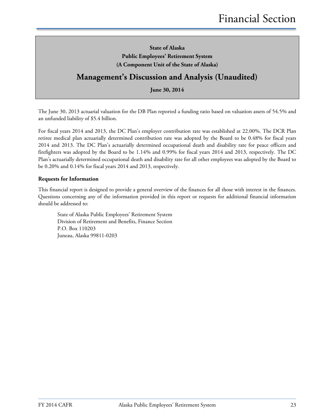# **Management's Discussion and Analysis (Unaudited)**

**June 30, 2014**

The June 30, 2013 actuarial valuation for the DB Plan reported a funding ratio based on valuation assets of 54.5% and an unfunded liability of \$5.4 billion.

For fiscal years 2014 and 2013, the DC Plan's employer contribution rate was established at 22.00%. The DCR Plan retiree medical plan actuarially determined contribution rate was adopted by the Board to be 0.48% for fiscal years 2014 and 2013. The DC Plan's actuarially determined occupational death and disability rate for peace officers and firefighters was adopted by the Board to be 1.14% and 0.99% for fiscal years 2014 and 2013, respectively. The DC Plan's actuarially determined occupational death and disability rate for all other employees was adopted by the Board to be 0.20% and 0.14% for fiscal years 2014 and 2013, respectively.

### **Requests for Information**

This financial report is designed to provide a general overview of the finances for all those with interest in the finances. Questions concerning any of the information provided in this report or requests for additional financial information should be addressed to:

State of Alaska Public Employees' Retirement System Division of Retirement and Benefits, Finance Section P.O. Box 110203 Juneau, Alaska 99811-0203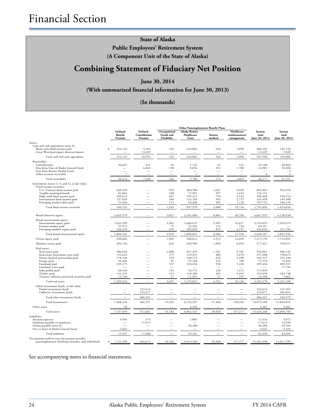**Public Employees' Retirement System**

**(A Component Unit of the State of Alaska)**

### **Combining Statement of Fiduciary Net Position**

**June 30, 2014**

**(With summarized financial information for June 30, 2013)**

**(In thousands)**

|                                                                                                                                                                                                              |                                                                         |                                    |                                                                            | Other Postemployment Benefit Plans                                      |                                                 |                                                           |                                                                          |                                                                         |
|--------------------------------------------------------------------------------------------------------------------------------------------------------------------------------------------------------------|-------------------------------------------------------------------------|------------------------------------|----------------------------------------------------------------------------|-------------------------------------------------------------------------|-------------------------------------------------|-----------------------------------------------------------|--------------------------------------------------------------------------|-------------------------------------------------------------------------|
|                                                                                                                                                                                                              | Defined<br>Benefit<br>Pension                                           | Defined<br>Contribution<br>Pension | Occupational<br>Death and<br>Disability                                    | Alaska Retiree<br>Healthcare<br>Trust                                   | Retiree<br>medical                              | Healthcare<br>reimbursement<br>arrangement                | System<br>total<br>June 30, 2014                                         | System<br>total<br>June 30, 2013                                        |
| Assets:                                                                                                                                                                                                      |                                                                         |                                    |                                                                            |                                                                         |                                                 |                                                           |                                                                          |                                                                         |
| Cash and cash equivalents (note 4):<br>Short-term fixed income pool<br>Great West/participant directed deposit                                                                                               | \$<br>252,123                                                           | 5,503<br>13,429                    | 524                                                                        | 224,003                                                                 | 926                                             | 5,090                                                     | 488,169<br>13,429                                                        | 187,158<br>7,828                                                        |
| Total cash and cash equivalents                                                                                                                                                                              | 252,123                                                                 | 18,932                             | 524                                                                        | 224,003                                                                 | 926                                             | 5,090                                                     | 501,598                                                                  | 194,986                                                                 |
| Receivables:                                                                                                                                                                                                 |                                                                         |                                    |                                                                            |                                                                         |                                                 |                                                           |                                                                          |                                                                         |
| Contributions<br>Due from State of Alaska General Fund<br>Due from Retiree Health Fund<br>Other account receivable                                                                                           | 26,667<br>$\overline{7}$                                                | 615<br>6,823                       | 16<br>150<br>$\overline{\phantom{0}}$                                      | 1,723<br>8,056<br>$\mathbf{1}$                                          | 22<br>252                                       | 145<br>1,700                                              | 29,188<br>16,981<br>8                                                    | 28,860<br>18,484<br>3<br>4                                              |
| Total receivables                                                                                                                                                                                            | 26,674                                                                  | 7,438                              | 166                                                                        | 9,780                                                                   | 274                                             | 1,845                                                     | 46,177                                                                   | 47,351                                                                  |
| Investments (notes 3, 4, and 5), at fair value:<br>Fixed income securities:<br>U.S. Treasury fixed income pool<br>Taxable municipal bonds<br>High yield fixed income pool<br>International fixed income pool | 449,549<br>81,063<br>205,815<br>137,828                                 |                                    | 933<br>168<br>427<br>286                                                   | 404,786<br>72,991<br>185,321<br>124,104                                 | 1,647<br>297<br>754<br>505                      | 9,050<br>1,632<br>4,143<br>2,775                          | 865,965<br>156,151<br>396,460<br>265,498                                 | 962,870<br>356,514<br>249,308                                           |
| Emerging markets debt pool                                                                                                                                                                                   | 55,938                                                                  | -                                  | 115                                                                        | 50,368                                                                  | 205                                             | 1,126                                                     | 107,752                                                                  | 106,124                                                                 |
| Total fixed income securities                                                                                                                                                                                | 930,193                                                                 |                                    | 1,929                                                                      | 837,570                                                                 | 3,408                                           | 18,726                                                    | 1,791,826                                                                | 1,674,816                                                               |
| Broad domestic equity                                                                                                                                                                                        | 2,423,279                                                               |                                    | 5,027                                                                      | 2,181,984                                                               | 8,881                                           | 48,784                                                    | 4,667,955                                                                | 4,130,558                                                               |
| Broad international equity:<br>International equity pool<br>Frontier market pool<br>Emerging markets equity pool                                                                                             | 1,622,209<br>35,974<br>226,359                                          |                                    | 3,365<br>75<br>470                                                         | 1,460,679<br>32,392<br>203,820                                          | 5,945<br>132<br>829                             | 32,657<br>724<br>4,557                                    | 3,124,855<br>69,297<br>436,035                                           | 2,459,673<br>371,783                                                    |
| Total broad international equity                                                                                                                                                                             | 1,884,542                                                               |                                    | 3,910                                                                      | 1,696,891                                                               | 6,906                                           | 37,938                                                    | 3,630,187                                                                | 2,831,456                                                               |
| Private equity pool                                                                                                                                                                                          | 630,826                                                                 |                                    | 1,309                                                                      | 568,012                                                                 | 2,312                                           | 12,699                                                    | 1,215,158                                                                | 1,133,891                                                               |
| Absolute return pool                                                                                                                                                                                         | 299,756                                                                 |                                    | 622                                                                        | 269,909                                                                 | 1,099                                           | 6,035                                                     | 577,421                                                                  | 558,457                                                                 |
| Real assets:<br>Real estate pool<br>Real estate investment trust pool<br>Master limited partnership pool<br>Energy pool<br>Farmland pool<br>Farmland water pool<br>Infra public pool<br>Timber pool          | 486,038<br>132,632<br>178,330<br>39,048<br>259,273<br>60,163<br>131,370 |                                    | 1,008<br>275<br>370<br>81<br>537<br>$\overline{\phantom{a}}$<br>124<br>273 | 437,459<br>119,425<br>160,573<br>35,160<br>233,456<br>54,172<br>118,289 | 1.781<br>486<br>654<br>143<br>950<br>220<br>481 | 9,781<br>2,670<br>3,590<br>786<br>5,220<br>1,211<br>2,645 | 936,067<br>255,488<br>343,517<br>75,218<br>499,436<br>115,890<br>253,058 | 966,142<br>190,672<br>255,340<br>75,824<br>485,915<br>17,794<br>183,748 |
| Treasury inflation protected securities pool                                                                                                                                                                 | 12,768                                                                  |                                    | 27                                                                         | 11,497                                                                  | 47                                              | 257                                                       | 24,596                                                                   | 5,863                                                                   |
| Total real assets                                                                                                                                                                                            | 1,299,622                                                               |                                    | 2,695                                                                      | 1,170,031                                                               | 4,762                                           | 26,160                                                    | 2,503,270                                                                | 2,181,298                                                               |
| Other investment funds, at fair value:<br>Pooled investment funds<br>Collective investment funds                                                                                                             |                                                                         | 233,614<br>252,677                 |                                                                            |                                                                         |                                                 |                                                           | 233,614<br>252,677                                                       | 137,565<br>201,014                                                      |
| Total other investment funds                                                                                                                                                                                 |                                                                         | 486,291                            |                                                                            |                                                                         |                                                 |                                                           | 486,291                                                                  | 338,579                                                                 |
| Total investments                                                                                                                                                                                            | 7,468,218                                                               | 486,291                            | 15,492                                                                     | 6,724,397                                                               | 27,368                                          | 150,342                                                   | 14,872,108                                                               | 12,849,055                                                              |
| Other assets                                                                                                                                                                                                 | 20                                                                      |                                    |                                                                            | 4,345                                                                   |                                                 |                                                           | 4,365                                                                    | 3,401                                                                   |
| Total assets                                                                                                                                                                                                 | 7,747,035                                                               | 512,661                            | 16,182                                                                     | 6,962,525                                                               | 28,568                                          | 157,277                                                   | 15,424,248                                                               | 13,094,793                                                              |
| Liabilities:<br>Accrued expenses<br>Forfeiture payable to employers<br>Claims payable (note 8)<br>Due to State of Alaska General Fund                                                                        | 9,956<br>5,641                                                          | 375<br>17,613                      | $\overline{\phantom{a}}$                                                   | 1,085<br>48,280                                                         |                                                 | $\overline{\phantom{0}}$                                  | 11,416<br>17,613<br>48,280<br>5,641                                      | 9,972<br>12,936<br>54,764<br>5,322                                      |
| <b>Total liabilities</b>                                                                                                                                                                                     | 15,597                                                                  | 17,988                             |                                                                            | 49,365                                                                  |                                                 |                                                           | 82,950                                                                   | 82,994                                                                  |
| Net position held in trust for pension benefits,<br>postemployment healthcare benefits, and individuals                                                                                                      | 7,731,438<br>s                                                          | 494,673                            | 16,182                                                                     | 6,913,160                                                               | 28,568                                          | 157,277                                                   | 15,341,298                                                               | 13,011,799                                                              |

See accompanying notes to financial statements.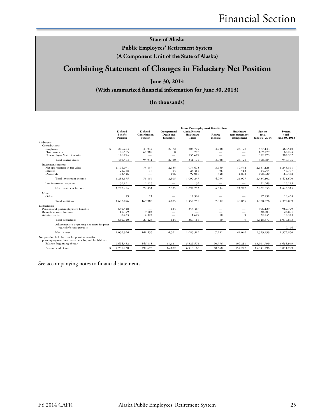**Public Employees' Retirement System (A Component Unit of the State of Alaska)**

# **Combining Statement of Changes in Fiduciary Net Position**

**June 30, 2014**

**(With summarized financial information for June 30, 2013)**

**(In thousands)**

|                                                                                                                                        | Other Postemployment Benefit Plans |                                    |                                                |                                       |                    |                                            |                                  |                                  |
|----------------------------------------------------------------------------------------------------------------------------------------|------------------------------------|------------------------------------|------------------------------------------------|---------------------------------------|--------------------|--------------------------------------------|----------------------------------|----------------------------------|
|                                                                                                                                        | Defined<br>Benefit<br>Pension      | Defined<br>Contribution<br>Pension | Occupational<br>Death and<br><b>Disability</b> | Alaska Retiree<br>Healthcare<br>Trust | Retiree<br>medical | Healthcare<br>reimbursement<br>arrangement | System<br>total<br>June 30, 2014 | System<br>total<br>June 30, 2013 |
| Additions:<br>Contributions:                                                                                                           | 206,204                            | 33,942                             |                                                |                                       |                    |                                            |                                  |                                  |
| Employers<br>Plan members<br>Nonemployer State of Alaska                                                                               | \$<br>106,565<br>176,794           | 61,989                             | 2,372<br>8                                     | 204,779<br>717<br>135,679             | 3,708              | 26,128                                     | 477,133<br>169,279<br>312,473    | 467,510<br>165,294<br>307,302    |
| Total contributions                                                                                                                    | 489,563                            | 95,931                             | 2,380                                          | 341,175                               | 3,708              | 26,128                                     | 958,885                          | 940,106                          |
| Investment income:<br>Net appreciation in fair value<br>Interest<br>Dividends                                                          | 1,106,071<br>28,788<br>103,516     | 75,137<br>17                       | 2,055<br>54<br>196                             | 974,673<br>25,486<br>92,088           | 3.650<br>96<br>348 | 19,542<br>513<br>1,872                     | 2,181,128<br>54,954<br>198,020   | 1,248,361<br>56,777<br>166,462   |
| Total investment income                                                                                                                | 1,238,375                          | 75,154                             | 2,305                                          | 1,092,247                             | 4,094              | 21,927                                     | 2,434,102                        | 1,471,600                        |
| Less investment expense                                                                                                                | 30,891                             | 1,123                              |                                                | 35                                    |                    |                                            | 32,049                           | 26,285                           |
| Net investment income                                                                                                                  | 1,207,484                          | 74,031                             | 2,305                                          | 1,092,212                             | 4,094              | 21,927                                     | 2,402,053                        | 1,445,315                        |
| Other:<br>Other                                                                                                                        | 49                                 | 21                                 |                                                | 17,368                                |                    |                                            | 17,438                           | 10,468                           |
| Total additions                                                                                                                        | 1,697,096                          | 169,983                            | 4,685                                          | 1,450,755                             | 7,802              | 48,055                                     | 3,378,376                        | 2,395,889                        |
| Deductions:<br>Pension and postemployment benefits<br>Refunds of contributions<br>Administrative                                       | 640,518<br>11,399<br>8,223         | 19,104<br>2,324                    | 124<br>$\overbrace{\qquad \qquad }^{}$         | 355,487<br>11,679                     | 10                 | 9                                          | 996,129<br>30,503<br>22,245      | 969,729<br>23,801<br>17,343      |
| Total deductions                                                                                                                       | 660,140                            | 21,428                             | 124                                            | 367,166                               | 10                 | 9                                          | 1,048,877                        | 1,010,873                        |
| Adjustment to beginning net assets for prior<br>years forfeitures payable                                                              |                                    |                                    |                                                |                                       |                    |                                            |                                  | 9,166                            |
| Net increase                                                                                                                           | 1,036,956                          | 148,555                            | 4,561                                          | 1,083,589                             | 7,792              | 48,046                                     | 2,329,499                        | 1,375,850                        |
| Net position held in trust for pension benefits,<br>postemployment healthcare benefits, and individuals:<br>Balance, beginning of year | 6,694,482                          | 346,118                            | 11.621                                         | 5,829,571                             | 20,776             | 109,231                                    | 13,011,799                       | 11,635,949                       |
| Balance, end of year                                                                                                                   | 7,731,438                          | 494,673                            | 16,182                                         | 6,913,160                             | 28,568             | 157,277                                    | 15,341,298                       | 13,011,799                       |

See accompanying notes to financial statements.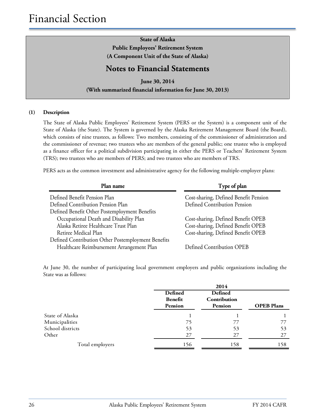### **Notes to Financial Statements**

**June 30, 2014 (With summarized financial information for June 30, 2013)**

### **(1) Description**

The State of Alaska Public Employees' Retirement System (PERS or the System) is a component unit of the State of Alaska (the State). The System is governed by the Alaska Retirement Management Board (the Board), which consists of nine trustees, as follows: Two members, consisting of the commissioner of administration and the commissioner of revenue; two trustees who are members of the general public; one trustee who is employed as a finance officer for a political subdivision participating in either the PERS or Teachers' Retirement System (TRS); two trustees who are members of PERS; and two trustees who are members of TRS.

PERS acts as the common investment and administrative agency for the following multiple-employer plans:

| Plan name                                          | Type of plan                          |
|----------------------------------------------------|---------------------------------------|
| Defined Benefit Pension Plan                       | Cost-sharing, Defined Benefit Pension |
| Defined Contribution Pension Plan                  | Defined Contribution Pension          |
| Defined Benefit Other Postemployment Benefits      |                                       |
| Occupational Death and Disability Plan             | Cost-sharing, Defined Benefit OPEB    |
| Alaska Retiree Healthcare Trust Plan               | Cost-sharing, Defined Benefit OPEB    |
| Retiree Medical Plan                               | Cost-sharing, Defined Benefit OPEB    |
| Defined Contribution Other Postemployment Benefits |                                       |
| Healthcare Reimbursement Arrangement Plan          | Defined Contribution OPEB             |

At June 30, the number of participating local government employers and public organizations including the State was as follows:

|                  | 2014           |                |                   |  |  |  |
|------------------|----------------|----------------|-------------------|--|--|--|
|                  | <b>Defined</b> | <b>Defined</b> |                   |  |  |  |
|                  | <b>Benefit</b> | Contribution   |                   |  |  |  |
|                  | Pension        | Pension        | <b>OPEB Plans</b> |  |  |  |
| State of Alaska  |                |                |                   |  |  |  |
| Municipalities   | 75             | 77             | 77                |  |  |  |
| School districts | 53             | 53             | 53                |  |  |  |
| Other            | 27             | 27             | 27                |  |  |  |
| Total employers  | 156            | 158            | 158               |  |  |  |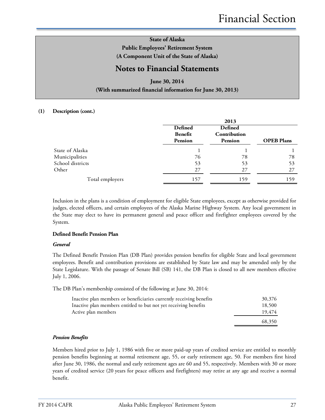**Public Employees' Retirement System**

**(A Component Unit of the State of Alaska)**

### **Notes to Financial Statements**

**June 30, 2014 (With summarized financial information for June 30, 2013)**

### **(1) Description (cont.)**

|                  |                | 2013           |                   |
|------------------|----------------|----------------|-------------------|
|                  | <b>Defined</b> | <b>Defined</b> |                   |
|                  | <b>Benefit</b> | Contribution   |                   |
|                  | Pension        | Pension        | <b>OPEB Plans</b> |
| State of Alaska  |                |                |                   |
| Municipalities   | 76             | 78             | 78                |
| School districts | 53             | 53             | 53                |
| Other            | 27             | 27             | 27                |
| Total employers  | 157            | 159            | 159               |

Inclusion in the plans is a condition of employment for eligible State employees, except as otherwise provided for judges, elected officers, and certain employees of the Alaska Marine Highway System. Any local government in the State may elect to have its permanent general and peace officer and firefighter employees covered by the System.

### **Defined Benefit Pension Plan**

#### *General*

The Defined Benefit Pension Plan (DB Plan) provides pension benefits for eligible State and local government employees. Benefit and contribution provisions are established by State law and may be amended only by the State Legislature. With the passage of Senate Bill (SB) 141, the DB Plan is closed to all new members effective July 1, 2006.

The DB Plan's membership consisted of the following at June 30, 2014:

| Inactive plan members or beneficiaries currently receiving benefits<br>Inactive plan members entitled to but not yet receiving benefits | 30,376<br>18,500 |
|-----------------------------------------------------------------------------------------------------------------------------------------|------------------|
| Active plan members                                                                                                                     | 19.474           |
|                                                                                                                                         | 68.350           |

### *Pension Benefits*

Members hired prior to July 1, 1986 with five or more paid-up years of credited service are entitled to monthly pension benefits beginning at normal retirement age, 55, or early retirement age, 50. For members first hired after June 30, 1986, the normal and early retirement ages are 60 and 55, respectively. Members with 30 or more years of credited service (20 years for peace officers and firefighters) may retire at any age and receive a normal benefit.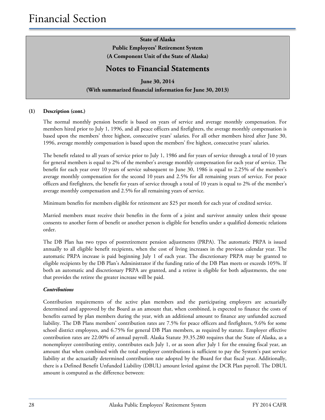### **Notes to Financial Statements**

**June 30, 2014 (With summarized financial information for June 30, 2013)**

### **(1) Description (cont.)**

The normal monthly pension benefit is based on years of service and average monthly compensation. For members hired prior to July 1, 1996, and all peace officers and firefighters, the average monthly compensation is based upon the members' three highest, consecutive years' salaries. For all other members hired after June 30, 1996, average monthly compensation is based upon the members' five highest, consecutive years' salaries.

The benefit related to all years of service prior to July 1, 1986 and for years of service through a total of 10 years for general members is equal to 2% of the member's average monthly compensation for each year of service. The benefit for each year over 10 years of service subsequent to June 30, 1986 is equal to 2.25% of the member's average monthly compensation for the second 10 years and 2.5% for all remaining years of service. For peace officers and firefighters, the benefit for years of service through a total of 10 years is equal to 2% of the member's average monthly compensation and 2.5% for all remaining years of service.

Minimum benefits for members eligible for retirement are \$25 per month for each year of credited service.

Married members must receive their benefits in the form of a joint and survivor annuity unless their spouse consents to another form of benefit or another person is eligible for benefits under a qualified domestic relations order.

The DB Plan has two types of postretirement pension adjustments (PRPA). The automatic PRPA is issued annually to all eligible benefit recipients, when the cost of living increases in the previous calendar year. The automatic PRPA increase is paid beginning July 1 of each year. The discretionary PRPA may be granted to eligible recipients by the DB Plan's Administrator if the funding ratio of the DB Plan meets or exceeds 105%. If both an automatic and discretionary PRPA are granted, and a retiree is eligible for both adjustments, the one that provides the retiree the greater increase will be paid.

### *Contributions*

Contribution requirements of the active plan members and the participating employers are actuarially determined and approved by the Board as an amount that, when combined, is expected to finance the costs of benefits earned by plan members during the year, with an additional amount to finance any unfunded accrued liability. The DB Plans members' contribution rates are 7.5% for peace officers and firefighters, 9.6% for some school district employees, and 6.75% for general DB Plan members, as required by statute. Employer effective contribution rates are 22.00% of annual payroll. Alaska Statute 39.35.280 requires that the State of Alaska, as a nonemployer contributing entity, contributes each July 1, or as soon after July 1 for the ensuing fiscal year, an amount that when combined with the total employer contributions is sufficient to pay the System's past service liability at the actuarially determined contribution rate adopted by the Board for that fiscal year. Additionally, there is a Defined Benefit Unfunded Liability (DBUL) amount levied against the DCR Plan payroll. The DBUL amount is computed as the difference between: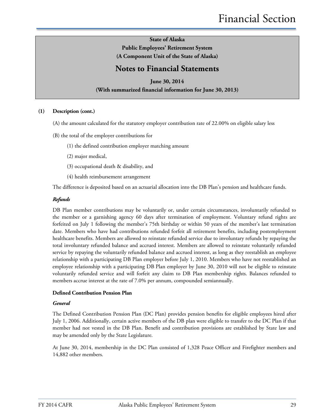**Public Employees' Retirement System (A Component Unit of the State of Alaska)**

### **Notes to Financial Statements**

**June 30, 2014 (With summarized financial information for June 30, 2013)**

### **(1) Description (cont.)**

- (A) the amount calculated for the statutory employer contribution rate of 22.00% on eligible salary less
- (B) the total of the employer contributions for
	- (1) the defined contribution employer matching amount
	- (2) major medical,
	- (3) occupational death & disability, and
	- (4) health reimbursement arrangement

The difference is deposited based on an actuarial allocation into the DB Plan's pension and healthcare funds.

### *Refunds*

DB Plan member contributions may be voluntarily or, under certain circumstances, involuntarily refunded to the member or a garnishing agency 60 days after termination of employment. Voluntary refund rights are forfeited on July 1 following the member's 75th birthday or within 50 years of the member's last termination date. Members who have had contributions refunded forfeit all retirement benefits, including postemployment healthcare benefits. Members are allowed to reinstate refunded service due to involuntary refunds by repaying the total involuntary refunded balance and accrued interest. Members are allowed to reinstate voluntarily refunded service by repaying the voluntarily refunded balance and accrued interest, as long as they reestablish an employee relationship with a participating DB Plan employer before July 1, 2010. Members who have not reestablished an employee relationship with a participating DB Plan employer by June 30, 2010 will not be eligible to reinstate voluntarily refunded service and will forfeit any claim to DB Plan membership rights. Balances refunded to members accrue interest at the rate of 7.0% per annum, compounded semiannually.

### **Defined Contribution Pension Plan**

### *General*

The Defined Contribution Pension Plan (DC Plan) provides pension benefits for eligible employees hired after July 1, 2006. Additionally, certain active members of the DB plan were eligible to transfer to the DC Plan if that member had not vested in the DB Plan. Benefit and contribution provisions are established by State law and may be amended only by the State Legislature.

At June 30, 2014, membership in the DC Plan consisted of 1,328 Peace Officer and Firefighter members and 14,882 other members.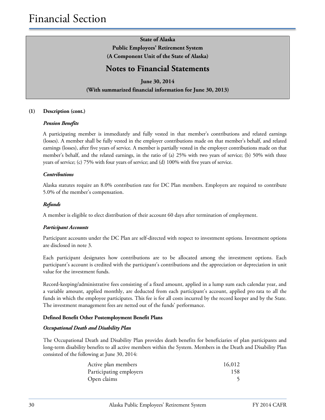### **Notes to Financial Statements**

**June 30, 2014 (With summarized financial information for June 30, 2013)**

### **(1) Description (cont.)**

### *Pension Benefits*

A participating member is immediately and fully vested in that member's contributions and related earnings (losses). A member shall be fully vested in the employer contributions made on that member's behalf, and related earnings (losses), after five years of service. A member is partially vested in the employer contributions made on that member's behalf, and the related earnings, in the ratio of (a) 25% with two years of service; (b) 50% with three years of service; (c) 75% with four years of service; and (d) 100% with five years of service.

### *Contributions*

Alaska statutes require an 8.0% contribution rate for DC Plan members. Employers are required to contribute 5.0% of the member's compensation.

### *Refunds*

A member is eligible to elect distribution of their account 60 days after termination of employment.

### *Participant Accounts*

Participant accounts under the DC Plan are self-directed with respect to investment options. Investment options are disclosed in note 3.

Each participant designates how contributions are to be allocated among the investment options. Each participant's account is credited with the participant's contributions and the appreciation or depreciation in unit value for the investment funds.

Record-keeping/administrative fees consisting of a fixed amount, applied in a lump sum each calendar year, and a variable amount, applied monthly, are deducted from each participant's account, applied pro rata to all the funds in which the employee participates. This fee is for all costs incurred by the record keeper and by the State. The investment management fees are netted out of the funds' performance.

### **Defined Benefit Other Postemployment Benefit Plans**

### *Occupational Death and Disability Plan*

The Occupational Death and Disability Plan provides death benefits for beneficiaries of plan participants and long-term disability benefits to all active members within the System. Members in the Death and Disability Plan consisted of the following at June 30, 2014:

| Active plan members     | 16,012 |
|-------------------------|--------|
| Participating employers | 158    |
| Open claims             |        |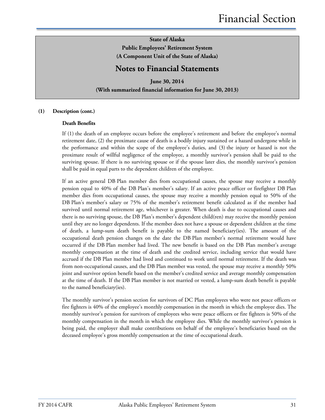### **Notes to Financial Statements**

**June 30, 2014 (With summarized financial information for June 30, 2013)**

### **(1) Description (cont.)**

### **Death Benefits**

If (1) the death of an employee occurs before the employee's retirement and before the employee's normal retirement date, (2) the proximate cause of death is a bodily injury sustained or a hazard undergone while in the performance and within the scope of the employee's duties, and (3) the injury or hazard is not the proximate result of willful negligence of the employee, a monthly survivor's pension shall be paid to the surviving spouse. If there is no surviving spouse or if the spouse later dies, the monthly survivor's pension shall be paid in equal parts to the dependent children of the employee.

If an active general DB Plan member dies from occupational causes, the spouse may receive a monthly pension equal to 40% of the DB Plan's member's salary. If an active peace officer or firefighter DB Plan member dies from occupational causes, the spouse may receive a monthly pension equal to 50% of the DB Plan's member's salary or 75% of the member's retirement benefit calculated as if the member had survived until normal retirement age, whichever is greater. When death is due to occupational causes and there is no surviving spouse, the DB Plan's member's dependent child(ren) may receive the monthly pension until they are no longer dependents. If the member does not have a spouse or dependent children at the time of death, a lump-sum death benefit is payable to the named beneficiary(ies). The amount of the occupational death pension changes on the date the DB Plan member's normal retirement would have occurred if the DB Plan member had lived. The new benefit is based on the DB Plan member's average monthly compensation at the time of death and the credited service, including service that would have accrued if the DB Plan member had lived and continued to work until normal retirement. If the death was from non-occupational causes, and the DB Plan member was vested, the spouse may receive a monthly 50% joint and survivor option benefit based on the member's credited service and average monthly compensation at the time of death. If the DB Plan member is not married or vested, a lump-sum death benefit is payable to the named beneficiary(ies).

The monthly survivor's pension section for survivors of DC Plan employees who were not peace officers or fire fighters is 40% of the employee's monthly compensation in the month in which the employee dies. The monthly survivor's pension for survivors of employees who were peace officers or fire fighters is 50% of the monthly compensation in the month in which the employee dies. While the monthly survivor's pension is being paid, the employer shall make contributions on behalf of the employee's beneficiaries based on the deceased employee's gross monthly compensation at the time of occupational death.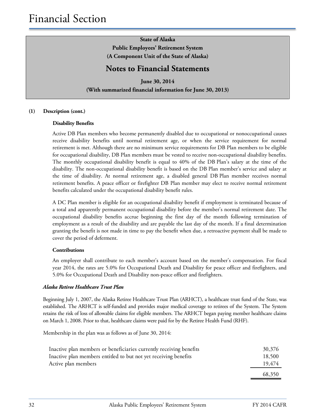### **Notes to Financial Statements**

**June 30, 2014 (With summarized financial information for June 30, 2013)**

### **(1) Description (cont.)**

### **Disability Benefits**

Active DB Plan members who become permanently disabled due to occupational or nonoccupational causes receive disability benefits until normal retirement age, or when the service requirement for normal retirement is met. Although there are no minimum service requirements for DB Plan members to be eligible for occupational disability, DB Plan members must be vested to receive non-occupational disability benefits. The monthly occupational disability benefit is equal to 40% of the DB Plan's salary at the time of the disability. The non-occupational disability benefit is based on the DB Plan member's service and salary at the time of disability. At normal retirement age, a disabled general DB Plan member receives normal retirement benefits. A peace officer or firefighter DB Plan member may elect to receive normal retirement benefits calculated under the occupational disability benefit rules.

A DC Plan member is eligible for an occupational disability benefit if employment is terminated because of a total and apparently permanent occupational disability before the member's normal retirement date. The occupational disability benefits accrue beginning the first day of the month following termination of employment as a result of the disability and are payable the last day of the month. If a final determination granting the benefit is not made in time to pay the benefit when due, a retroactive payment shall be made to cover the period of deferment.

### **Contributions**

An employer shall contribute to each member's account based on the member's compensation. For fiscal year 2014, the rates are 5.0% for Occupational Death and Disability for peace officer and firefighters, and 5.0% for Occupational Death and Disability non-peace officer and firefighters.

### *Alaska Retiree Healthcare Trust Plan*

Beginning July 1, 2007, the Alaska Retiree Healthcare Trust Plan (ARHCT), a healthcare trust fund of the State, was established. The ARHCT is self-funded and provides major medical coverage to retirees of the System. The System retains the risk of loss of allowable claims for eligible members. The ARHCT began paying member healthcare claims on March 1, 2008. Prior to that, healthcare claims were paid for by the Retiree Health Fund (RHF).

Membership in the plan was as follows as of June 30, 2014:

| Inactive plan members or beneficiaries currently receiving benefits | 30,376 |
|---------------------------------------------------------------------|--------|
| Inactive plan members entitled to but not yet receiving benefits    | 18,500 |
| Active plan members                                                 | 19,474 |
|                                                                     | 68.350 |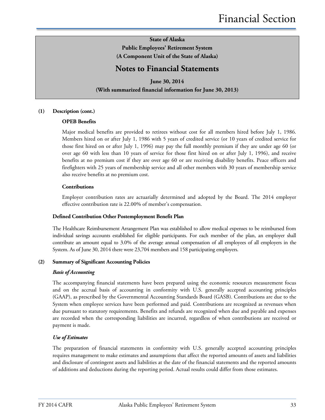### **Notes to Financial Statements**

**June 30, 2014 (With summarized financial information for June 30, 2013)**

### **(1) Description (cont.)**

### **OPEB Benefits**

Major medical benefits are provided to retirees without cost for all members hired before July 1, 1986. Members hired on or after July 1, 1986 with 5 years of credited service (or 10 years of credited service for those first hired on or after July 1, 1996) may pay the full monthly premium if they are under age 60 (or over age 60 with less than 10 years of service for those first hired on or after July 1, 1996), and receive benefits at no premium cost if they are over age 60 or are receiving disability benefits. Peace officers and firefighters with 25 years of membership service and all other members with 30 years of membership service also receive benefits at no premium cost.

### **Contributions**

Employer contribution rates are actuarially determined and adopted by the Board. The 2014 employer effective contribution rate is 22.00% of member's compensation.

### **Defined Contribution Other Postemployment Benefit Plan**

The Healthcare Reimbursement Arrangement Plan was established to allow medical expenses to be reimbursed from individual savings accounts established for eligible participants. For each member of the plan, an employer shall contribute an amount equal to 3.0% of the average annual compensation of all employees of all employers in the System. As of June 30, 2014 there were 23,704 members and 158 participating employers.

### **(2) Summary of Significant Accounting Policies**

### *Basis of Accounting*

The accompanying financial statements have been prepared using the economic resources measurement focus and on the accrual basis of accounting in conformity with U.S. generally accepted accounting principles (GAAP), as prescribed by the Governmental Accounting Standards Board (GASB). Contributions are due to the System when employee services have been performed and paid. Contributions are recognized as revenues when due pursuant to statutory requirements. Benefits and refunds are recognized when due and payable and expenses are recorded when the corresponding liabilities are incurred, regardless of when contributions are received or payment is made.

### *Use of Estimates*

The preparation of financial statements in conformity with U.S. generally accepted accounting principles requires management to make estimates and assumptions that affect the reported amounts of assets and liabilities and disclosure of contingent assets and liabilities at the date of the financial statements and the reported amounts of additions and deductions during the reporting period. Actual results could differ from those estimates.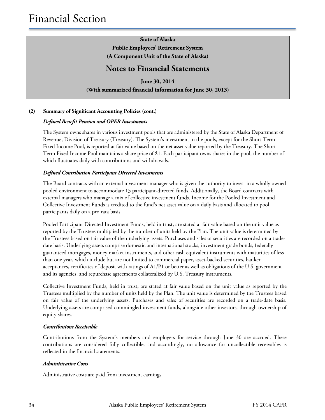### **Notes to Financial Statements**

**June 30, 2014 (With summarized financial information for June 30, 2013)**

### **(2) Summary of Significant Accounting Policies (cont.)**

### *Defined Benefit Pension and OPEB Investments*

The System owns shares in various investment pools that are administered by the State of Alaska Department of Revenue, Division of Treasury (Treasury). The System's investment in the pools, except for the Short-Term Fixed Income Pool, is reported at fair value based on the net asset value reported by the Treasury. The Short-Term Fixed Income Pool maintains a share price of \$1. Each participant owns shares in the pool, the number of which fluctuates daily with contributions and withdrawals.

### *Defined Contribution Participant Directed Investments*

The Board contracts with an external investment manager who is given the authority to invest in a wholly owned pooled environment to accommodate 13 participant-directed funds. Additionally, the Board contracts with external managers who manage a mix of collective investment funds. Income for the Pooled Investment and Collective Investment Funds is credited to the fund's net asset value on a daily basis and allocated to pool participants daily on a pro rata basis.

Pooled Participant Directed Investment Funds, held in trust, are stated at fair value based on the unit value as reported by the Trustees multiplied by the number of units held by the Plan. The unit value is determined by the Trustees based on fair value of the underlying assets. Purchases and sales of securities are recorded on a tradedate basis. Underlying assets comprise domestic and international stocks, investment grade bonds, federally guaranteed mortgages, money market instruments, and other cash equivalent instruments with maturities of less than one year, which include but are not limited to commercial paper, asset-backed securities, banker acceptances, certificates of deposit with ratings of A1/P1 or better as well as obligations of the U.S. government and its agencies, and repurchase agreements collateralized by U.S. Treasury instruments.

Collective Investment Funds, held in trust, are stated at fair value based on the unit value as reported by the Trustees multiplied by the number of units held by the Plan. The unit value is determined by the Trustees based on fair value of the underlying assets. Purchases and sales of securities are recorded on a trade-date basis. Underlying assets are comprised commingled investment funds, alongside other investors, through ownership of equity shares.

### *Contributions Receivable*

Contributions from the System's members and employers for service through June 30 are accrued. These contributions are considered fully collectible, and accordingly, no allowance for uncollectible receivables is reflected in the financial statements.

### *Administrative Costs*

Administrative costs are paid from investment earnings.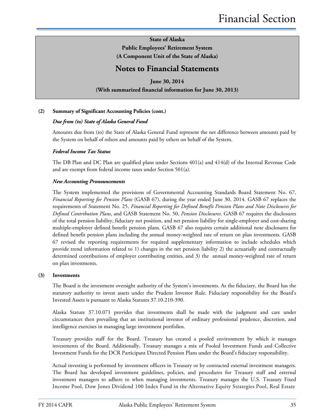### **Notes to Financial Statements**

**June 30, 2014 (With summarized financial information for June 30, 2013)**

### **(2) Summary of Significant Accounting Policies (cont.)**

### *Due from (to) State of Alaska General Fund*

Amounts due from (to) the State of Alaska General Fund represent the net difference between amounts paid by the System on behalf of others and amounts paid by others on behalf of the System.

### *Federal Income Tax Status*

The DB Plan and DC Plan are qualified plans under Sections 401(a) and 414(d) of the Internal Revenue Code and are exempt from federal income taxes under Section 501(a).

### *New Accounting Pronouncements*

The System implemented the provisions of Governmental Accounting Standards Board Statement No. 67, *Financial Reporting for Pension Plans* (GASB 67), during the year ended June 30, 2014. GASB 67 replaces the requirements of Statement No. 25, *Financial Reporting for Defined Benefit Pension Plans and Note Disclosures for Defined Contribution Plans*, and GASB Statement No. 50, *Pension Disclosures*. GASB 67 requires the disclosures of the total pension liability, fiduciary net position, and net pension liability for single-employer and cost-sharing multiple-employer defined benefit pension plans. GASB 67 also requires certain additional note disclosures for defined benefit pension plans including the annual money-weighted rate of return on plan investments. GASB 67 revised the reporting requirements for required supplementary information to include schedules which provide trend information related to 1) changes in the net pension liability 2) the actuarially and contractually determined contributions of employer contributing entities, and 3) the annual money-weighted rate of return on plan investments.

### **(3) Investments**

The Board is the investment oversight authority of the System's investments. As the fiduciary, the Board has the statutory authority to invest assets under the Prudent Investor Rule. Fiduciary responsibility for the Board's Invested Assets is pursuant to Alaska Statutes 37.10.210-390.

Alaska Statute 37.10.071 provides that investments shall be made with the judgment and care under circumstances then prevailing that an institutional investor of ordinary professional prudence, discretion, and intelligence exercises in managing large investment portfolios.

Treasury provides staff for the Board. Treasury has created a pooled environment by which it manages investments of the Board. Additionally, Treasury manages a mix of Pooled Investment Funds and Collective Investment Funds for the DCR Participant Directed Pension Plans under the Board's fiduciary responsibility.

Actual investing is performed by investment officers in Treasury or by contracted external investment managers. The Board has developed investment guidelines, policies, and procedures for Treasury staff and external investment managers to adhere to when managing investments. Treasury manages the U.S. Treasury Fixed Income Pool, Dow Jones Dividend 100 Index Fund in the Alternative Equity Strategies Pool, Real Estate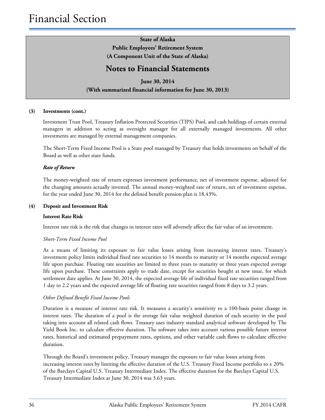### **Notes to Financial Statements**

**June 30, 2014 (With summarized financial information for June 30, 2013)**

### **(3) Investments (cont.)**

Investment Trust Pool, Treasury Inflation Protected Securities (TIPS) Pool, and cash holdings of certain external managers in addition to acting as oversight manager for all externally managed investments. All other investments are managed by external management companies.

The Short-Term Fixed Income Pool is a State pool managed by Treasury that holds investments on behalf of the Board as well as other state funds.

### *Rate of Return*

The money-weighted rate of return expresses investment performance, net of investment expense, adjusted for the changing amounts actually invested. The annual money-weighted rate of return, net of investment expense, for the year ended June 30, 2014 for the defined benefit pension plan is 18.43%.

#### **(4) Deposit and Investment Risk**

### **Interest Rate Risk**

Interest rate risk is the risk that changes in interest rates will adversely affect the fair value of an investment.

#### *Short-Term Fixed Income Pool*

As a means of limiting its exposure to fair value losses arising from increasing interest rates, Treasury's investment policy limits individual fixed rate securities to 14 months to maturity or 14 months expected average life upon purchase. Floating rate securities are limited to three years to maturity or three years expected average life upon purchase. These constraints apply to trade date, except for securities bought at new issue, for which settlement date applies. At June 30, 2014, the expected average life of individual fixed rate securities ranged from 1 day to 2.2 years and the expected average life of floating rate securities ranged from 8 days to 3.2 years.

### *Other Defined Benefit Fixed Income Pools*

Duration is a measure of interest rate risk. It measures a security's sensitivity to a 100-basis point change in interest rates. The duration of a pool is the average fair value weighted duration of each security in the pool taking into account all related cash flows. Treasury uses industry standard analytical software developed by The Yield Book Inc. to calculate effective duration. The software takes into account various possible future interest rates, historical and estimated prepayment rates, options, and other variable cash flows to calculate effective duration.

Through the Board's investment policy, Treasury manages the exposure to fair value losses arising from increasing interest rates by limiting the effective duration of the U.S. Treasury Fixed Income portfolio to ± 20% of the Barclays Capital U.S. Treasury Intermediate Index. The effective duration for the Barclays Capital U.S. Treasury Intermediate Index at June 30, 2014 was 3.63 years.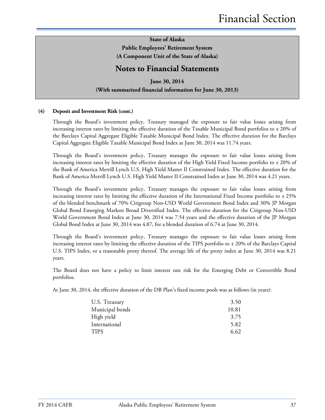### **Notes to Financial Statements**

**June 30, 2014 (With summarized financial information for June 30, 2013)**

### **(4) Deposit and Investment Risk (cont.)**

Through the Board's investment policy, Treasury managed the exposure to fair value losses arising from increasing interest rates by limiting the effective duration of the Taxable Municipal Bond portfolios to  $\pm 20\%$  of the Barclays Capital Aggregate Eligible Taxable Municipal Bond Index. The effective duration for the Barclays Capital Aggregate Eligible Taxable Municipal Bond Index at June 30, 2014 was 11.74 years.

Through the Board's investment policy, Treasury manages the exposure to fair value losses arising from increasing interest rates by limiting the effective duration of the High Yield Fixed Income portfolio to ± 20% of the Bank of America Merrill Lynch U.S. High Yield Master II Constrained Index. The effective duration for the Bank of America Merrill Lynch U.S. High Yield Master II Constrained Index at June 30, 2014 was 4.21 years.

Through the Board's investment policy, Treasury manages the exposure to fair value losses arising from increasing interest rates by limiting the effective duration of the International Fixed Income portfolio to  $\pm 25\%$ of the blended benchmark of 70% Citigroup Non-USD World Government Bond Index and 30% JP Morgan Global Bond Emerging Markets Broad Diversified Index. The effective duration for the Citigroup Non-USD World Government Bond Index at June 30, 2014 was 7.54 years and the effective duration of the JP Morgan Global Bond Index at June 30, 2014 was 4.87, for a blended duration of 6.74 at June 30, 2014.

Through the Board's investment policy, Treasury manages the exposure to fair value losses arising from increasing interest rates by limiting the effective duration of the TIPS portfolio to  $\pm$  20% of the Barclays Capital U.S. TIPS Index, or a reasonable proxy thereof. The average life of the proxy index at June 30, 2014 was 8.21 years.

The Board does not have a policy to limit interest rate risk for the Emerging Debt or Convertible Bond portfolios.

At June 30, 2014, the effective duration of the DB Plan's fixed income pools was as follows (in years):

| U.S. Treasury   | 3.50  |
|-----------------|-------|
| Municipal bonds | 10.81 |
| High yield      | 3.75  |
| International   | 5.82  |
| <b>TIPS</b>     | 6.62  |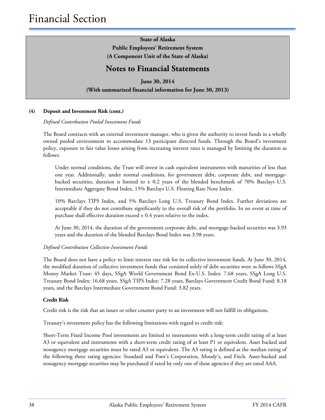### **Notes to Financial Statements**

**June 30, 2014 (With summarized financial information for June 30, 2013)**

### **(4) Deposit and Investment Risk (cont.)**

### *Defined Contribution Pooled Investment Funds*

The Board contracts with an external investment manager, who is given the authority to invest funds in a wholly owned pooled environment to accommodate 13 participant directed funds. Through the Board's investment policy, exposure to fair value losses arising from increasing interest rates is managed by limiting the duration as follows:

Under normal conditions, the Trust will invest in cash equivalent instruments with maturities of less than one year. Additionally, under normal conditions, for government debt, corporate debt, and mortgagebacked securities, duration is limited to ± 0.2 years of the blended benchmark of 70% Barclays U.S. Intermediate Aggregate Bond Index, 15% Barclays U.S. Floating Rate Note Index.

10% Barclays TIPS Index, and 5% Barclays Long U.S. Treasury Bond Index. Further deviations are acceptable if they do not contribute significantly to the overall risk of the portfolio. In no event at time of purchase shall effective duration exceed  $\pm$  0.4 years relative to the index.

At June 30, 2014, the duration of the government corporate debt, and mortgage-backed securities was 3.93 years and the duration of the blended Barclays Bond Index was 3.98 years.

### *Defined Contribution Collective Investment Funds*

The Board does not have a policy to limit interest rate risk for its collective investment funds. At June 30, 2014, the modified duration of collective investment funds that consisted solely of debt securities were as follows SSgA Money Market Trust: 45 days, SSgA World Government Bond Ex-U.S. Index: 7.68 years, SSgA Long U.S. Treasury Bond Index: 16.68 years, SSgA TIPS Index: 7.28 years, Barclays Government Credit Bond Fund: 8.18 years, and the Barclays Intermediate Government Bond Fund: 3.82 years.

### **Credit Risk**

Credit risk is the risk that an issuer or other counter party to an investment will not fulfill its obligations.

Treasury's investment policy has the following limitations with regard to credit risk:

Short-Term Fixed Income Pool investments are limited to instruments with a long-term credit rating of at least A3 or equivalent and instruments with a short-term credit rating of at least P1 or equivalent. Asset backed and nonagency mortgage securities must be rated A3 or equivalent. The A3 rating is defined as the median rating of the following three rating agencies: Standard and Poor's Corporation, Moody's, and Fitch. Asset-backed and nonagency mortgage securities may be purchased if rated by only one of these agencies if they are rated AAA.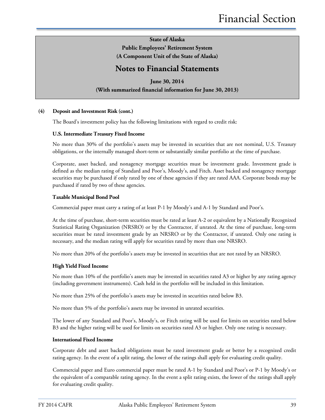### **Notes to Financial Statements**

**June 30, 2014 (With summarized financial information for June 30, 2013)**

### **(4) Deposit and Investment Risk (cont.)**

The Board's investment policy has the following limitations with regard to credit risk:

### **U.S. Intermediate Treasury Fixed Income**

No more than 30% of the portfolio's assets may be invested in securities that are not nominal, U.S. Treasury obligations, or the internally managed short-term or substantially similar portfolio at the time of purchase.

Corporate, asset backed, and nonagency mortgage securities must be investment grade. Investment grade is defined as the median rating of Standard and Poor's, Moody's, and Fitch. Asset backed and nonagency mortgage securities may be purchased if only rated by one of these agencies if they are rated AAA. Corporate bonds may be purchased if rated by two of these agencies.

### **Taxable Municipal Bond Pool**

Commercial paper must carry a rating of at least P-1 by Moody's and A-1 by Standard and Poor's.

At the time of purchase, short-term securities must be rated at least A-2 or equivalent by a Nationally Recognized Statistical Rating Organization (NRSRO) or by the Contractor, if unrated. At the time of purchase, long-term securities must be rated investment grade by an NRSRO or by the Contractor, if unrated. Only one rating is necessary, and the median rating will apply for securities rated by more than one NRSRO.

No more than 20% of the portfolio's assets may be invested in securities that are not rated by an NRSRO.

### **High Yield Fixed Income**

No more than 10% of the portfolio's assets may be invested in securities rated A3 or higher by any rating agency (including government instruments). Cash held in the portfolio will be included in this limitation.

No more than 25% of the portfolio's assets may be invested in securities rated below B3.

No more than 5% of the portfolio's assets may be invested in unrated securities.

The lower of any Standard and Poor's, Moody's, or Fitch rating will be used for limits on securities rated below B3 and the higher rating will be used for limits on securities rated A3 or higher. Only one rating is necessary.

### **International Fixed Income**

Corporate debt and asset backed obligations must be rated investment grade or better by a recognized credit rating agency. In the event of a split rating, the lower of the ratings shall apply for evaluating credit quality.

Commercial paper and Euro commercial paper must be rated A-1 by Standard and Poor's or P-1 by Moody's or the equivalent of a comparable rating agency. In the event a split rating exists, the lower of the ratings shall apply for evaluating credit quality.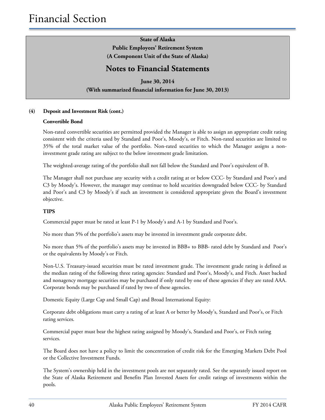### **Notes to Financial Statements**

**June 30, 2014 (With summarized financial information for June 30, 2013)**

### **(4) Deposit and Investment Risk (cont.)**

### **Convertible Bond**

Non-rated convertible securities are permitted provided the Manager is able to assign an appropriate credit rating consistent with the criteria used by Standard and Poor's, Moody's, or Fitch. Non-rated securities are limited to 35% of the total market value of the portfolio. Non-rated securities to which the Manager assigns a noninvestment grade rating are subject to the below investment grade limitation.

The weighted-average rating of the portfolio shall not fall below the Standard and Poor's equivalent of B.

The Manager shall not purchase any security with a credit rating at or below CCC- by Standard and Poor's and C3 by Moody's. However, the manager may continue to hold securities downgraded below CCC- by Standard and Poor's and C3 by Moody's if such an investment is considered appropriate given the Board's investment objective.

### **TIPS**

Commercial paper must be rated at least P-1 by Moody's and A-1 by Standard and Poor's.

No more than 5% of the portfolio's assets may be invested in investment grade corporate debt.

No more than 5% of the portfolio's assets may be invested in BBB+ to BBB- rated debt by Standard and Poor's or the equivalents by Moody's or Fitch.

Non-U.S. Treasury-issued securities must be rated investment grade. The investment grade rating is defined as the median rating of the following three rating agencies: Standard and Poor's, Moody's, and Fitch. Asset backed and nonagency mortgage securities may be purchased if only rated by one of these agencies if they are rated AAA. Corporate bonds may be purchased if rated by two of these agencies.

Domestic Equity (Large Cap and Small Cap) and Broad International Equity:

Corporate debt obligations must carry a rating of at least A or better by Moody's, Standard and Poor's, or Fitch rating services.

Commercial paper must bear the highest rating assigned by Moody's, Standard and Poor's, or Fitch rating services.

The Board does not have a policy to limit the concentration of credit risk for the Emerging Markets Debt Pool or the Collective Investment Funds.

The System's ownership held in the investment pools are not separately rated. See the separately issued report on the State of Alaska Retirement and Benefits Plan Invested Assets for credit ratings of investments within the pools.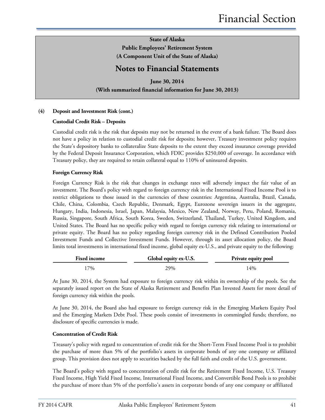### **Notes to Financial Statements**

**June 30, 2014 (With summarized financial information for June 30, 2013)**

### **(4) Deposit and Investment Risk (cont.)**

### **Custodial Credit Risk – Deposits**

Custodial credit risk is the risk that deposits may not be returned in the event of a bank failure. The Board does not have a policy in relation to custodial credit risk for deposits; however, Treasury investment policy requires the State's depository banks to collateralize State deposits to the extent they exceed insurance coverage provided by the Federal Deposit Insurance Corporation, which FDIC provides \$250,000 of coverage. In accordance with Treasury policy, they are required to retain collateral equal to 110% of uninsured deposits.

### **Foreign Currency Risk**

Foreign Currency Risk is the risk that changes in exchange rates will adversely impact the fair value of an investment. The Board's policy with regard to foreign currency risk in the International Fixed Income Pool is to restrict obligations to those issued in the currencies of these countries: Argentina, Australia, Brazil, Canada, Chile, China, Colombia, Czech Republic, Denmark, Egypt, Eurozone sovereign issuers in the aggregate, Hungary, India, Indonesia, Israel, Japan, Malaysia, Mexico, New Zealand, Norway, Peru, Poland, Romania, Russia, Singapore, South Africa, South Korea, Sweden, Switzerland, Thailand, Turkey, United Kingdom, and United States. The Board has no specific policy with regard to foreign currency risk relating to international or private equity. The Board has no policy regarding foreign currency risk in the Defined Contribution Pooled Investment Funds and Collective Investment Funds. However, through its asset allocation policy, the Board limits total investments in international fixed income, global equity ex-U.S., and private equity to the following:

| <b>Fixed income</b> | Global equity ex-U.S. | Private equity pool |
|---------------------|-----------------------|---------------------|
| $7\%$               | 29%                   | 14%                 |

At June 30, 2014, the System had exposure to foreign currency risk within its ownership of the pools. See the separately issued report on the State of Alaska Retirement and Benefits Plan Invested Assets for more detail of foreign currency risk within the pools.

At June 30, 2014, the Board also had exposure to foreign currency risk in the Emerging Markets Equity Pool and the Emerging Markets Debt Pool. These pools consist of investments in commingled funds; therefore, no disclosure of specific currencies is made.

### **Concentration of Credit Risk**

Treasury's policy with regard to concentration of credit risk for the Short-Term Fixed Income Pool is to prohibit the purchase of more than 5% of the portfolio's assets in corporate bonds of any one company or affiliated group. This provision does not apply to securities backed by the full faith and credit of the U.S. government.

The Board's policy with regard to concentration of credit risk for the Retirement Fixed Income, U.S. Treasury Fixed Income, High Yield Fixed Income, International Fixed Income, and Convertible Bond Pools is to prohibit the purchase of more than 5% of the portfolio's assets in corporate bonds of any one company or affiliated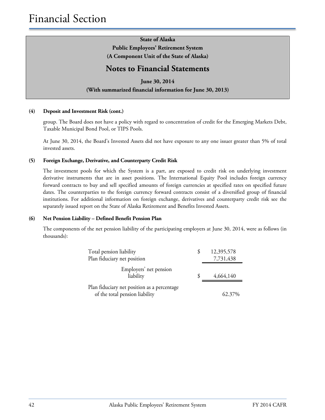### **Notes to Financial Statements**

**June 30, 2014 (With summarized financial information for June 30, 2013)**

### **(4) Deposit and Investment Risk (cont.)**

group. The Board does not have a policy with regard to concentration of credit for the Emerging Markets Debt, Taxable Municipal Bond Pool, or TIPS Pools.

At June 30, 2014, the Board's Invested Assets did not have exposure to any one issuer greater than 5% of total invested assets.

#### **(5) Foreign Exchange, Derivative, and Counterparty Credit Risk**

The investment pools for which the System is a part, are exposed to credit risk on underlying investment derivative instruments that are in asset positions. The International Equity Pool includes foreign currency forward contracts to buy and sell specified amounts of foreign currencies at specified rates on specified future dates. The counterparties to the foreign currency forward contracts consist of a diversified group of financial institutions. For additional information on foreign exchange, derivatives and counterparty credit risk see the separately issued report on the State of Alaska Retirement and Benefits Invested Assets.

### **(6) Net Pension Liability – Defined Benefit Pension Plan**

The components of the net pension liability of the participating employers at June 30, 2014, were as follows (in thousands):

| Total pension liability                                                       | 12,395,578 |
|-------------------------------------------------------------------------------|------------|
| Plan fiduciary net position                                                   | 7,731,438  |
| Employers' net pension<br>liability                                           | 4,664,140  |
| Plan fiduciary net position as a percentage<br>of the total pension liability | 62.37%     |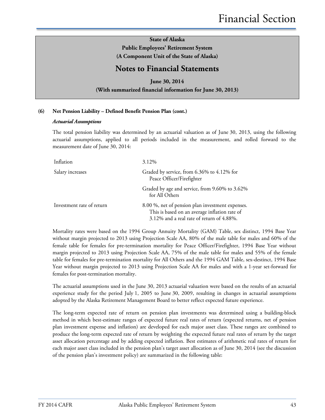**Public Employees' Retirement System**

**(A Component Unit of the State of Alaska)**

### **Notes to Financial Statements**

**June 30, 2014 (With summarized financial information for June 30, 2013)**

### **(6) Net Pension Liability – Defined Benefit Pension Plan (cont.)**

#### *Actuarial Assumptions*

The total pension liability was determined by an actuarial valuation as of June 30, 2013, using the following actuarial assumptions, applied to all periods included in the measurement, and rolled forward to the measurement date of June 30, 2014:

| Inflation                 | 3.12%                                                                                                                                          |
|---------------------------|------------------------------------------------------------------------------------------------------------------------------------------------|
| Salary increases          | Graded by service, from 6.36% to 4.12% for<br>Peace Officer/Firefighter                                                                        |
|                           | Graded by age and service, from 9.60% to 3.62%<br>for All Others                                                                               |
| Investment rate of return | 8.00 %, net of pension plan investment expenses.<br>This is based on an average inflation rate of<br>3.12% and a real rate of return of 4.88%. |

Mortality rates were based on the 1994 Group Annuity Mortality (GAM) Table, sex distinct, 1994 Base Year without margin projected to 2013 using Projection Scale AA, 80% of the male table for males and 60% of the female table for females for pre-termination mortality for Peace Officer/Firefighter, 1994 Base Year without margin projected to 2013 using Projection Scale AA, 75% of the male table for males and 55% of the female table for females for pre-termination mortality for All Others and the 1994 GAM Table, sex-destinct, 1994 Base Year without margin projected to 2013 using Projection Scale AA for males and with a 1-year set-forward for females for post-termination mortality.

The actuarial assumptions used in the June 30, 2013 actuarial valuation were based on the results of an actuarial experience study for the period July 1, 2005 to June 30, 2009, resulting in changes in actuarial assumptions adopted by the Alaska Retirement Management Board to better reflect expected future experience.

The long-term expected rate of return on pension plan investments was determined using a building-block method in which best-estimate ranges of expected future real rates of return (expected returns, net of pension plan investment expense and inflation) are developed for each major asset class. These ranges are combined to produce the long-term expected rate of return by weighting the expected future real rates of return by the target asset allocation percentage and by adding expected inflation. Best estimates of arithmetic real rates of return for each major asset class included in the pension plan's target asset allocation as of June 30, 2014 (see the discussion of the pension plan's investment policy) are summarized in the following table: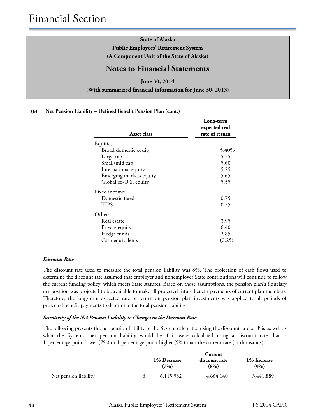### **Notes to Financial Statements**

**June 30, 2014**

**(With summarized financial information for June 30, 2013)**

#### **(6) Net Pension Liability – Defined Benefit Pension Plan (cont.)**

| Asset class             | Long-term<br>expected real<br>rate of return |
|-------------------------|----------------------------------------------|
| Equities:               |                                              |
| Broad domestic equity   | 5.40%                                        |
| Large cap               | 5.25                                         |
| Small/mid cap           | 5.60                                         |
| International equity    | 5.25                                         |
| Emerging markets equity | 5.65                                         |
| Global ex-U.S. equity   | 5.55                                         |
| Fixed income:           |                                              |
| Domestic fixed          | 0.75                                         |
| <b>TIPS</b>             | 0.75                                         |
| Other:                  |                                              |
| Real estate             | 3.95                                         |
| Private equity          | 6.40                                         |
| Hedge funds             | 2.85                                         |
| Cash equivalents        | (0.25)                                       |

#### *Discount Rate*

The discount rate used to measure the total pension liability was 8%. The projection of cash flows used to determine the discount rate assumed that employer and nonemployer State contributions will continue to follow the current funding policy, which meets State statutes. Based on those assumptions, the pension plan's fiduciary net position was projected to be available to make all projected future benefit payments of current plan members. Therefore, the long-term expected rate of return on pension plan investments was applied to all periods of projected benefit payments to determine the total pension liability.

#### *Sensitivity of the Net Pension Liability to Changes in the Discount Rate*

The following presents the net pension liability of the System calculated using the discount rate of 8%, as well as what the Systems' net pension liability would be if it were calculated using a discount rate that is 1-percentage-point lower (7%) or 1-percentage-point higher (9%) than the current rate (in thousands):

|                       |                     | Current                  |                         |
|-----------------------|---------------------|--------------------------|-------------------------|
|                       | 1% Decrease<br>(7%) | discount rate<br>$(8\%)$ | 1\% Increase<br>$(9\%)$ |
| Net pension liability | 6,115,582           | 4,664,140                | 3,441,889               |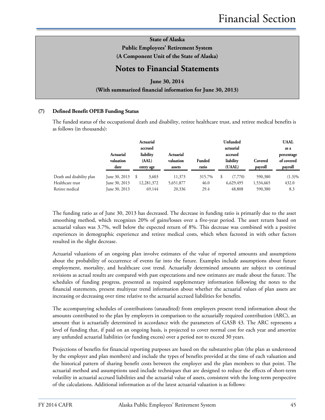### **Notes to Financial Statements**

**June 30, 2014**

#### **(With summarized financial information for June 30, 2013)**

### **(7) Defined Benefit OPEB Funding Status**

The funded status of the occupational death and disability, retiree healthcare trust, and retiree medical benefits is as follows (in thousands):

|                           | Actuarial<br>valuation<br>date | Actuarial<br>accrued<br>liability<br>(AAL)<br>entry age | Actuarial<br>valuation<br>assets | Funded<br>ratio | Unfunded<br>actuarial<br>accrued<br>liability<br>(UAAL) | Covered<br>payroll | <b>UAAL</b><br>as a<br>percentage<br>of covered<br>payroll |
|---------------------------|--------------------------------|---------------------------------------------------------|----------------------------------|-----------------|---------------------------------------------------------|--------------------|------------------------------------------------------------|
| Death and disability plan | June 30, 2013                  | 3,603                                                   | 11,373                           | 315.7%          | (7,770)                                                 | 590,380            | $(1.3)\%$                                                  |
| Healthcare trust          | June 30, 2013                  | 12,281,372                                              | 5,651,877                        | 46.0            | 6,629,495                                               | 1,534,665          | 432.0                                                      |
| Retiree medical           | June 30, 2013                  | 69,144                                                  | 20,336                           | 29.4            | 48,808                                                  | 590,380            | 8.3                                                        |

The funding ratio as of June 30, 2013 has decreased. The decrease in funding ratio is primarily due to the asset smoothing method, which recognizes 20% of gains/losses over a five-year period. The asset return based on actuarial values was 3.7%, well below the expected return of 8%. This decrease was combined with a positive experiences in demographic experience and retiree medical costs, which when factored in with other factors resulted in the slight decrease.

Actuarial valuations of an ongoing plan involve estimates of the value of reported amounts and assumptions about the probability of occurrence of events far into the future. Examples include assumptions about future employment, mortality, and healthcare cost trend. Actuarially determined amounts are subject to continual revisions as actual results are compared with past expectations and new estimates are made about the future. The schedules of funding progress, presented as required supplementary information following the notes to the financial statements, present multiyear trend information about whether the actuarial values of plan assets are increasing or decreasing over time relative to the actuarial accrued liabilities for benefits.

The accompanying schedules of contributions (unaudited) from employers present trend information about the amounts contributed to the plan by employers in comparison to the actuarially required contribution (ARC), an amount that is actuarially determined in accordance with the parameters of GASB 43. The ARC represents a level of funding that, if paid on an ongoing basis, is projected to cover normal cost for each year and amortize any unfunded actuarial liabilities (or funding excess) over a period not to exceed 30 years.

Projections of benefits for financial reporting purposes are based on the substantive plan (the plan as understood by the employer and plan members) and include the types of benefits provided at the time of each valuation and the historical pattern of sharing benefit costs between the employer and the plan members to that point. The actuarial method and assumptions used include techniques that are designed to reduce the effects of short-term volatility in actuarial accrued liabilities and the actuarial value of assets, consistent with the long-term perspective of the calculations. Additional information as of the latest actuarial valuation is as follows: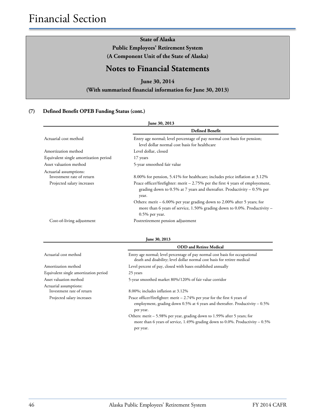| <b>State of Alaska</b>                     |
|--------------------------------------------|
| <b>Public Employees' Retirement System</b> |
| (A Component Unit of the State of Alaska)  |

# **Notes to Financial Statements**

**June 30, 2014**

#### **(With summarized financial information for June 30, 2013)**

#### **(7) Defined Benefit OPEB Funding Status (cont.)**

|                                                                                                                | June 30, 2013                                                                                                                                                                                                                                                                                                                                                                                                                                                         |
|----------------------------------------------------------------------------------------------------------------|-----------------------------------------------------------------------------------------------------------------------------------------------------------------------------------------------------------------------------------------------------------------------------------------------------------------------------------------------------------------------------------------------------------------------------------------------------------------------|
|                                                                                                                | <b>Defined Benefit</b>                                                                                                                                                                                                                                                                                                                                                                                                                                                |
| Actuarial cost method                                                                                          | Entry age normal; level percentage of pay normal cost basis for pension;<br>level dollar normal cost basis for healthcare                                                                                                                                                                                                                                                                                                                                             |
| Amortization method                                                                                            | Level dollar, closed                                                                                                                                                                                                                                                                                                                                                                                                                                                  |
| Equivalent single amortization period                                                                          | 17 years                                                                                                                                                                                                                                                                                                                                                                                                                                                              |
| Asset valuation method                                                                                         | 5-year smoothed fair value                                                                                                                                                                                                                                                                                                                                                                                                                                            |
| Actuarial assumptions:<br>Investment rate of return<br>Projected salary increases<br>Cost-of-living adjustment | 8.00% for pension, 5.41% for healthcare; includes price inflation at 3.12%<br>Peace officer/firefighter: merit $-2.75%$ per the first 4 years of employement,<br>grading down to 0.5% at 7 years and thereafter. Productivity $-0.5%$ per<br>year.<br>Others: merit $-6.00\%$ per year grading down to 2.00% after 5 years; for<br>more than 6 years of service, 1.50% grading down to 0.0%. Productivity -<br>$0.5\%$ per year.<br>Postretirement pension adjustment |
|                                                                                                                | June 30, 2013                                                                                                                                                                                                                                                                                                                                                                                                                                                         |
|                                                                                                                | <b>ODD</b> and Retiree Medical                                                                                                                                                                                                                                                                                                                                                                                                                                        |
| Actuarial cost method                                                                                          | Entry age normal; level percentage of pay normal cost basis for occupational<br>death and disability; level dollar normal cost basis for retiree medical                                                                                                                                                                                                                                                                                                              |
| Amortization method                                                                                            | Level percent of pay, closed with bases established annually                                                                                                                                                                                                                                                                                                                                                                                                          |

Equivalent single amortization period 25 years Asset valuation method 5-year smoothed market 80%/120% of fair value corridor Actuarial assumptions:<br>Investment rate of return

8.00%; includes inflation at 3.12%

Projected salary increases Peace officer/firefighter: merit - 2.74% per year for the first 4 years of employment, grading down 0.5% at 4 years and thereafter. Productivity – 0.5% per year.

Others: merit – 5.98% per year, grading down to 1.99% after 5 years; for more than 6 years of service, 1.49% grading down to 0.0%. Productivity – 0.5% per year.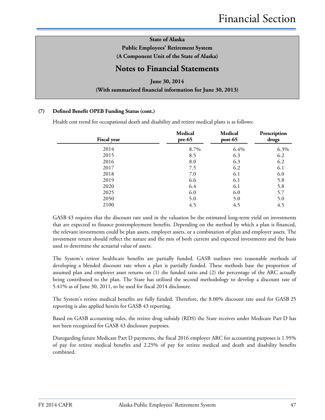### **Notes to Financial Statements**

**June 30, 2014**

### **(With summarized financial information for June 30, 2013)**

### **(7) Defined Benefit OPEB Funding Status (cont.)**

**Medical Medical Prescription Fiscal year pre-65 post-65 drugs** 8.7% 6.4% 6.3% 8.5 6.3 6.2 8.0 6.3 6.2 7.5 6.2 6.1 7.0 6.1 6.0 6.6 6.1 5.8 6.4 6.1 5.8 6.0 6.0 5.7 5.0 5.0 5.0 4.5 4.5 4.5 2020 2017 2025 2050 2100 2014 2015 2016 2018 2019

Health cost trend for occupational death and disability and retiree medical plans is as follows:

GASB 43 requires that the discount rate used in the valuation be the estimated long-term yield on investments that are expected to finance postemployment benefits. Depending on the method by which a plan is financed, the relevant investments could be plan assets, employer assets, or a combination of plan and employer assets. The investment return should reflect the nature and the mix of both current and expected investments and the basis used to determine the actuarial value of assets.

The System's retiree healthcare benefits are partially funded. GASB outlines two reasonable methods of developing a blended discount rate when a plan is partially funded. These methods base the proportion of assumed plan and employer asset returns on (1) the funded ratio and (2) the percentage of the ARC actually being contributed to the plan. The State has utilized the second methodology to develop a discount rate of 5.41% as of June 30, 2011, to be used for fiscal 2014 disclosure.

The System's retiree medical benefits are fully funded. Therefore, the 8.00% discount rate used for GASB 25 reporting is also applied herein for GASB 43 reporting.

Based on GASB accounting rules, the retiree drug subsidy (RDS) the State receives under Medicare Part D has not been recognized for GASB 43 disclosure purposes.

Disregarding future Medicare Part D payments, the fiscal 2016 employer ARC for accounting purposes is 1.95% of pay for retiree medical benefits and 2.25% of pay for retiree medical and death and disability benefits combined.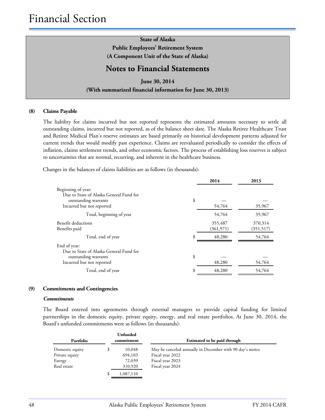### **Notes to Financial Statements**

**June 30, 2014 (With summarized financial information for June 30, 2013)**

### **(8) Claims Payable**

The liability for claims incurred but not reported represents the estimated amounts necessary to settle all outstanding claims, incurred but not reported, as of the balance sheet date. The Alaska Retiree Healthcare Trust and Retiree Medical Plan's reserve estimates are based primarily on historical development patterns adjusted for current trends that would modify past experience. Claims are reevaluated periodically to consider the effects of inflation, claims settlement trends, and other economic factors. The process of establishing loss reserves is subject to uncertainties that are normal, recurring, and inherent in the healthcare business.

Changes in the balances of claims liabilities are as follows (in thousands):

|                                                                                                                    | 2014                  | 2013                 |
|--------------------------------------------------------------------------------------------------------------------|-----------------------|----------------------|
| Beginning of year:<br>Due to State of Alaska General Fund for<br>outstanding warrants<br>Incurred but not reported | \$<br>54,764          | 35,967               |
| Total, beginning of year                                                                                           | 54,764                | 35,967               |
| Benefit deductions<br>Benefits paid                                                                                | 355,487<br>(361, 971) | 370,314<br>(351,517) |
| Total, end of year                                                                                                 | \$<br>48,280          | 54,764               |
| End of year:<br>Due to State of Alaska General Fund for<br>outstanding warrants<br>Incurred but not reported       | \$<br>48,280          | 54,764               |
| Total, end of year                                                                                                 | \$<br>48,280          | 54,764               |
|                                                                                                                    |                       |                      |

### **(9) Commitments and Contingencies**

#### *Commitments*

The Board entered into agreements through external managers to provide capital funding for limited partnerships in the domestic equity, private equity, energy, and real estate portfolios. At June 30, 2014, the Board's unfunded commitments were as follows (in thousands):

| Portfolio       |   | Unfunded<br>commitment | Estimated to be paid through                              |
|-----------------|---|------------------------|-----------------------------------------------------------|
| Domestic equity | S | 10,048                 | May be canceled annually in December with 90 day's notice |
| Private equity  |   | 694,103                | Fiscal year 2022                                          |
| Energy          |   | 72,039                 | Fiscal year 2023                                          |
| Real estate     |   | 310,920                | Fiscal year 2024                                          |
|                 | S | 1,087,110              |                                                           |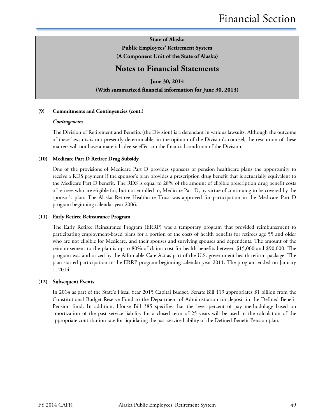### **Notes to Financial Statements**

**June 30, 2014 (With summarized financial information for June 30, 2013)**

### **(9) Commitments and Contingencies (cont.)**

### *Contingencies*

The Division of Retirement and Benefits (the Division) is a defendant in various lawsuits. Although the outcome of these lawsuits is not presently determinable, in the opinion of the Division's counsel, the resolution of these matters will not have a material adverse effect on the financial condition of the Division.

### **(10) Medicare Part D Retiree Drug Subsidy**

One of the provisions of Medicare Part D provides sponsors of pension healthcare plans the opportunity to receive a RDS payment if the sponsor's plan provides a prescription drug benefit that is actuarially equivalent to the Medicare Part D benefit. The RDS is equal to 28% of the amount of eligible prescription drug benefit costs of retirees who are eligible for, but not enrolled in, Medicare Part D, by virtue of continuing to be covered by the sponsor's plan. The Alaska Retiree Healthcare Trust was approved for participation in the Medicare Part D program beginning calendar year 2006.

### **(11) Early Retiree Reinsurance Program**

The Early Retiree Reinsurance Program (ERRP) was a temporary program that provided reimbursement to participating employment-based plans for a portion of the costs of health benefits for retirees age 55 and older who are not eligible for Medicare, and their spouses and surviving spouses and dependents. The amount of the reimbursement to the plan is up to 80% of claims cost for health benefits between \$15,000 and \$90,000. The program was authorized by the Affordable Care Act as part of the U.S. government health reform package. The plan started participation in the ERRP program beginning calendar year 2011. The program ended on January 1, 2014.

### **(12) Subsequent Events**

In 2014 as part of the State's Fiscal Year 2015 Capital Budget, Senate Bill 119 appropriates \$1 billion from the Constitutional Budget Reserve Fund to the Department of Administration for deposit in the Defined Benefit Pension fund. In addition, House Bill 385 specifies that the level percent of pay methodology based on amortization of the past service liability for a closed term of 25 years will be used in the calculation of the appropriate contribution rate for liquidating the past service liability of the Defined Benefit Pension plan.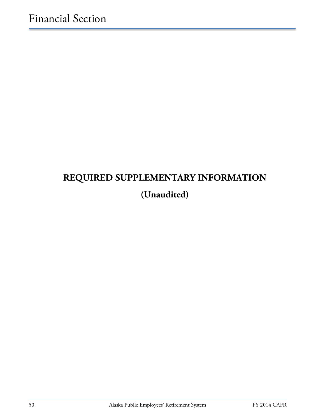# **REQUIRED SUPPLEMENTARY INFORMATION (Unaudited)**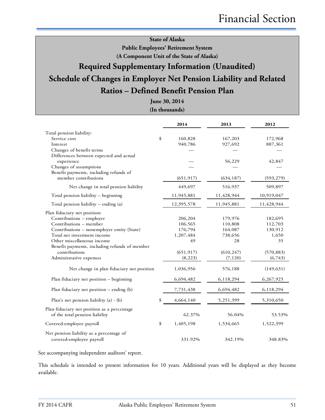**Public Employees' Retirement System**

**(A Component Unit of the State of Alaska)**

# **Required Supplementary Information (Unaudited) Schedule of Changes in Employer Net Pension Liability and Related Ratios – Defined Benefit Pension Plan**

**June 30, 2014**

|  | (In thousands) |
|--|----------------|
|--|----------------|

|                                                                                                                                                                                                                                                                                            | 2014                                                                       | 2013                                                                     | 2012                                                                  |
|--------------------------------------------------------------------------------------------------------------------------------------------------------------------------------------------------------------------------------------------------------------------------------------------|----------------------------------------------------------------------------|--------------------------------------------------------------------------|-----------------------------------------------------------------------|
| Total pension liability:<br>Service cost<br>Interest<br>Changes of benefit terms                                                                                                                                                                                                           | \$<br>160,828<br>940,786                                                   | 167,203<br>927,692                                                       | 172,968<br>887,361                                                    |
| Differences between expected and actual<br>experience<br>Changes of assumptions<br>Benefit payments, including refunds of<br>member contributions                                                                                                                                          | (651, 917)                                                                 | 56,229<br>(634, 187)                                                     | 42,847<br>(593, 279)                                                  |
| Net change in total pension liability                                                                                                                                                                                                                                                      | 449,697                                                                    | 516,937                                                                  | 509,897                                                               |
| Total pension liability - beginning                                                                                                                                                                                                                                                        | 11,945,881                                                                 | 11,428,944                                                               | 10,919,047                                                            |
| Total pension liability – ending (a)                                                                                                                                                                                                                                                       | 12,395,578                                                                 | 11,945,881                                                               | 11,428,944                                                            |
| Plan fiduciary net position:<br>Contributions - employer<br>Contributions - member<br>Contributions - nonemployer entity (State)<br>Total net investment income<br>Other miscellaneous income<br>Benefit payments, including refunds of member<br>contributions<br>Administrative expenses | 206,204<br>106,565<br>176,794<br>1,207,484<br>49<br>(651, 917)<br>(8, 223) | 179,976<br>110,808<br>164,087<br>738,656<br>28<br>(610, 247)<br>(7, 120) | 182,695<br>112,703<br>130,912<br>1,650<br>35<br>(570, 883)<br>(6,743) |
| Net change in plan fiduciary net position                                                                                                                                                                                                                                                  | 1,036,956                                                                  | 576,188                                                                  | (149, 631)                                                            |
| Plan fiduciary net position - beginning                                                                                                                                                                                                                                                    | 6,694,482                                                                  | 6,118,294                                                                | 6,267,925                                                             |
| Plan fiduciary net position $-$ ending (b)                                                                                                                                                                                                                                                 | 7,731,438                                                                  | 6,694,482                                                                | 6,118,294                                                             |
| Plan's net pension liability (a) - (b)                                                                                                                                                                                                                                                     | \$<br>4,664,140                                                            | 5,251,399                                                                | 5,310,650                                                             |
| Plan fiduciary net position as a percentage<br>of the total pension liability                                                                                                                                                                                                              | 62.37%                                                                     | 56.04%                                                                   | 53.53%                                                                |
| Covered-employee payroll                                                                                                                                                                                                                                                                   | \$<br>1,405,198                                                            | 1,534,665                                                                | 1,522,399                                                             |
| Net pension liability as a percentage of<br>covered-employee payroll                                                                                                                                                                                                                       | 331.92%                                                                    | 342.19%                                                                  | 348.83%                                                               |

See accompanying independent auditors' report.

This schedule is intended to present information for 10 years. Additional years will be displayed as they become available.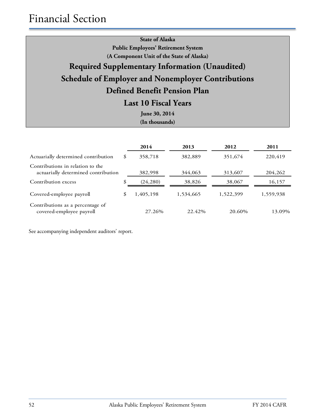**State of Alaska Public Employees' Retirement System (A Component Unit of the State of Alaska) Required Supplementary Information (Unaudited) Schedule of Employer and Nonemployer Contributions Defined Benefit Pension Plan**

# **Last 10 Fiscal Years**

**June 30, 2014 (In thousands)**

|                                                                         |    | 2014      | 2013      | 2012      | 2011      |
|-------------------------------------------------------------------------|----|-----------|-----------|-----------|-----------|
| Actuarially determined contribution                                     | \$ | 358,718   | 382,889   | 351,674   | 220,419   |
| Contributions in relation to the<br>actuarially determined contribution |    | 382,998   | 344,063   | 313,607   | 204,262   |
| Contribution excess                                                     |    | (24, 280) | 38,826    | 38,067    | 16,157    |
| Covered-employee payroll                                                | S  | 1,405,198 | 1,534,665 | 1,522,399 | 1,559,938 |
| Contributions as a percentage of<br>covered-employee payroll            |    | 27.26%    | 22.42%    | 20.60%    | 13.09%    |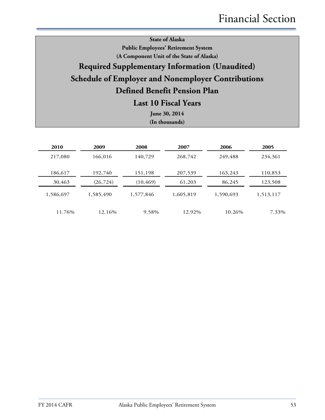| <b>State of Alaska</b>                                    |
|-----------------------------------------------------------|
| <b>Public Employees' Retirement System</b>                |
| (A Component Unit of the State of Alaska)                 |
| <b>Required Supplementary Information (Unaudited)</b>     |
| <b>Schedule of Employer and Nonemployer Contributions</b> |
| <b>Defined Benefit Pension Plan</b>                       |
|                                                           |

# **Last 10 Fiscal Years**

**June 30, 2014 (In thousands)**

| 2010      | 2009      | 2008      | 2007      | 2006      | 2005      |
|-----------|-----------|-----------|-----------|-----------|-----------|
| 217,080   | 166,016   | 140,729   | 268,742   | 249,488   | 234,361   |
| 186,617   | 192,740   | 151,198   | 207,539   | 163,243   | 110,853   |
| 30,463    | (26, 724) | (10, 469) | 61,203    | 86,245    | 123,508   |
| 1,586,697 | 1,585,490 | 1,577,846 | 1,605,819 | 1,590,693 | 1,513,117 |
| 11.76%    | 12.16%    | 9.58%     | 12.92%    | 10.26%    | 7.33%     |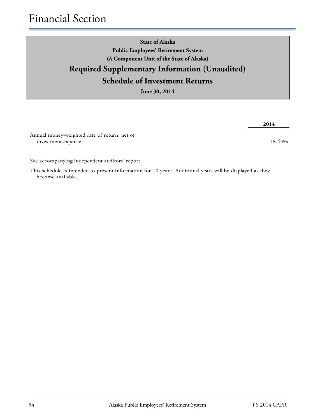# **Required Supplementary Information (Unaudited) Schedule of Investment Returns**

**June 30, 2014**

**2014** Annual money-weighted rate of return, net of investment expense 18.43%

See accompanying independent auditors' report

This schedule is intended to present information for 10 years. Additional years will be displayed as they become available.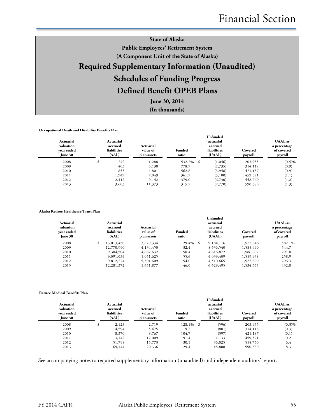**State of Alaska Public Employees' Retirement System (A Component Unit of the State of Alaska) Required Supplementary Information (Unaudited) Schedules of Funding Progress Defined Benefit OPEB Plans June 30, 2014**

**(In thousands)**

**Occupational Death and Disability Benefits Plan**

| Actuarial<br>valuation<br>vear ended<br>June 30 | Actuarial<br>accrued<br>liabilities<br>(AAL) | Actuarial<br>value of<br>plan assets | Funded<br>ratio | Unfunded<br>actuarial<br>accrued<br>liabilities<br>(UAAL) | Covered<br>payroll | <b>UAAL</b> as<br>a percentage<br>of covered<br>payroll |
|-------------------------------------------------|----------------------------------------------|--------------------------------------|-----------------|-----------------------------------------------------------|--------------------|---------------------------------------------------------|
| 2008                                            | 242                                          | 1,288                                | 532.2%<br>- S   | (1,046)                                                   | 203,955            | $(0.5)\%$                                               |
| 2009                                            | 403                                          | 3,138                                | 778.7           | (2,735)                                                   | 314,118            | (0.9)                                                   |
| 2010                                            | 853                                          | 4,801                                | 562.8           | (3,948)                                                   | 421,187            | (0.9)                                                   |
| 2011                                            | 1.949                                        | 7,049                                | 361.7           | (5,100)                                                   | 459,521            | (1.1)                                                   |
| 2012                                            | 2.412                                        | 9.142                                | 379.0           | (6,730)                                                   | 558,760            | (1.2)                                                   |
| 2013                                            | 3,603                                        | 11,373                               | 315.7           | (7,770)                                                   | 590,380            | (1.3)                                                   |

#### **Alaska Retiree Healthcare Trust Plan**

| Actuarial<br>valuation<br>vear ended<br>June 30 | Actuarial<br>accrued<br>liabilities<br>(AAL) | Actuarial<br>value of<br>plan assets | Funded<br>ratio | Unfunded<br>actuarial<br>accrued<br>liabilities<br>(UAAL) | Covered<br>payroll | <b>UAAL</b> as<br>a percentage<br>of covered<br>payroll |
|-------------------------------------------------|----------------------------------------------|--------------------------------------|-----------------|-----------------------------------------------------------|--------------------|---------------------------------------------------------|
| 2008                                            | \$<br>13,013,450                             | 3,829,334                            | 29.4%<br>£.     | 9,184,116                                                 | 1,577,846          | 582.1%                                                  |
| 2009                                            | 12,770,990                                   | 4,134,450                            | 32.4            | 8,636,540                                                 | 1,585,490          | 544.7                                                   |
| 2010                                            | 9,304,504                                    | 4,687,632                            | 50.4            | 4,616,872                                                 | 1,586,697          | 291.0                                                   |
| 2011                                            | 9,091,034                                    | 5,051,625                            | 55.6            | 4,039,409                                                 | 1,559,938          | 258.9                                                   |
| 2012                                            | 9,812,274                                    | 5,301,609                            | 54.0            | 4,510,665                                                 | 1,522,399          | 296.3                                                   |
| 2013                                            | 12,281,372                                   | 5,651,877                            | 46.0            | 6,629,495                                                 | 1,534,665          | 432.0                                                   |

#### **Retiree Medical Benefits Plan**

| Actuarial<br>valuation<br>vear ended<br>June 30 | Actuarial<br>accrued<br>liabilities<br>(AAL) | Actuarial<br>value of<br>plan assets | Funded<br>ratio | <b>Unfunded</b><br>actuarial<br>accrued<br>liabilities<br>(UAAL) | Covered<br>payroll | <b>UAAL</b> as<br>a percentage<br>of covered<br>payroll |
|-------------------------------------------------|----------------------------------------------|--------------------------------------|-----------------|------------------------------------------------------------------|--------------------|---------------------------------------------------------|
| 2008                                            | 2,123                                        | 2,719                                | 128.1%<br>- \$  | (596)                                                            | 203,955            | (0.3)%                                                  |
| 2009                                            | 4,594                                        | 5,475                                | 119.2           | (881)                                                            | 314,118            | (0.3)                                                   |
| 2010                                            | 8,370                                        | 8,767                                | 104.7           | (397)                                                            | 421,187            | (0.1)                                                   |
| 2011                                            | 13,142                                       | 12,009                               | 91.4            | 1,133                                                            | 459,521            | 0.2                                                     |
| 2012                                            | 51,798                                       | 15,773                               | 30.5            | 36,025                                                           | 558,760            | 6.4                                                     |
| 2013                                            | 69,144                                       | 20,336                               | 29.4            | 48,808                                                           | 590,380            | 8.3                                                     |

See accompanying notes to required supplementary information (unaudited) and independent auditors' report.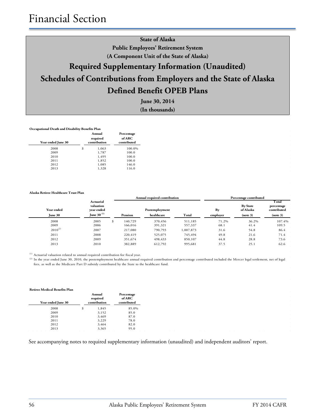**Public Employees' Retirement System**

**(A Component Unit of the State of Alaska)**

# **Required Supplementary Information (Unaudited) Schedules of Contributions from Employers and the State of Alaska Defined Benefit OPEB Plans**

**June 30, 2014 (In thousands)**

#### **Occupational Death and Disability Benefits Plan**

| Annual<br>required | Percentage<br>of ARC<br>contributed |
|--------------------|-------------------------------------|
| \$<br>1,063        | 100.0%                              |
| 1,787              | 100.0                               |
| 1,495              | 100.0                               |
| 1,852              | 100.0                               |
| 1,085              | 146.0                               |
| 1,328              | 116.0                               |
|                    | contribution                        |

#### **Alaska Retiree Healthcare Trust Plan**

|              |                                      |         | Annual required contribution |           |          | Percentage contributed       |                                    |  |
|--------------|--------------------------------------|---------|------------------------------|-----------|----------|------------------------------|------------------------------------|--|
| Year ended   | Actuarial<br>valuation<br>vear ended |         | Postemployment               |           | By       | <b>By State</b><br>of Alaska | Total<br>percentage<br>contributed |  |
| June 30      | June 30 $^{(1)}$                     | Pension | healthcare                   | Total     | employer | (note 3)                     | (note 3)                           |  |
| 2008         | 2005<br>Ъ.                           | 140,729 | 370,456                      | 511,185   | 71.2%    | 36.2%                        | 107.4%                             |  |
| 2009         | 2006                                 | 166,016 | 391,321                      | 557,337   | 68.1     | 41.4                         | 109.5                              |  |
| $2010^{(2)}$ | 2007                                 | 217,080 | 790,793                      | 1,007,873 | 31.6     | 54.8                         | 86.4                               |  |
| 2011         | 2008                                 | 220,419 | 525,075                      | 745,494   | 49.8     | 21.6                         | 71.4                               |  |
| 2012         | 2009                                 | 351,674 | 498,433                      | 850,107   | 44.8     | 28.8                         | 73.6                               |  |
| 2013         | 2010                                 | 382,889 | 612,792                      | 995,681   | 37.5     | 25.1                         | 62.6                               |  |

 $^{\left(1\right)}$  Actuarial valuation related to annual required contribution for fiscal year.

<sup>(2)</sup> In the year ended June 30, 2010, the postemployment healthcare annual required contribution and percentage contributed included the Mercer legal settlement, net of legal fees, as well as the Medicare Part D subsidy contributed by the State to the healthcare fund.

#### **Retiree Medical Benefits Plan**

| Year ended June 30 | Annual<br>required<br>contribution | Percentage<br>of ARC<br>contributed |
|--------------------|------------------------------------|-------------------------------------|
| 2008               | \$<br>1,845                        | 85.0%                               |
| 2009               | 3,152                              | 85.0                                |
| 2010               | 3,469                              | 87.0                                |
| 2011               | 3,229                              | 78.0                                |
| 2012               | 3,464                              | 82.0                                |
| 2013               | 3,365                              | 95.0                                |

See accompanying notes to required supplementary information (unaudited) and independent auditors' report.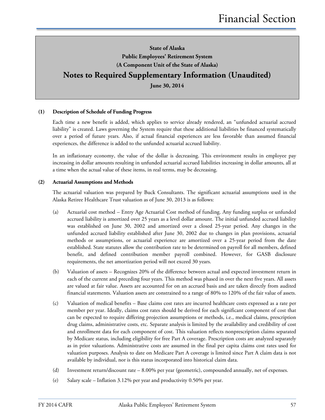#### **(1) Description of Schedule of Funding Progress**

Each time a new benefit is added, which applies to service already rendered, an "unfunded actuarial accrued liability" is created. Laws governing the System require that these additional liabilities be financed systematically over a period of future years. Also, if actual financial experiences are less favorable than assumed financial experiences, the difference is added to the unfunded actuarial accrued liability.

In an inflationary economy, the value of the dollar is decreasing. This environment results in employee pay increasing in dollar amounts resulting in unfunded actuarial accrued liabilities increasing in dollar amounts, all at a time when the actual value of these items, in real terms, may be decreasing.

#### **(2) Actuarial Assumptions and Methods**

The actuarial valuation was prepared by Buck Consultants. The significant actuarial assumptions used in the Alaska Retiree Healthcare Trust valuation as of June 30, 2013 is as follows:

- (a) Actuarial cost method Entry Age Actuarial Cost method of funding. Any funding surplus or unfunded accrued liability is amortized over 25 years as a level dollar amount. The initial unfunded accrued liability was established on June 30, 2002 and amortized over a closed 25-year period. Any changes in the unfunded accrued liability established after June 30, 2002 due to changes in plan provisions, actuarial methods or assumptions, or actuarial experience are amortized over a 25-year period from the date established. State statutes allow the contribution rate to be determined on payroll for all members, defined benefit, and defined contribution member payroll combined. However, for GASB disclosure requirements, the net amortization period will not exceed 30 years.
- (b) Valuation of assets Recognizes 20% of the difference between actual and expected investment return in each of the current and preceding four years. This method was phased in over the next five years. All assets are valued at fair value. Assets are accounted for on an accrued basis and are taken directly from audited financial statements. Valuation assets are constrained to a range of 80% to 120% of the fair value of assets.
- (c) Valuation of medical benefits Base claims cost rates are incurred healthcare costs expressed as a rate per member per year. Ideally, claims cost rates should be derived for each significant component of cost that can be expected to require differing projection assumptions or methods, i.e., medical claims, prescription drug claims, administrative costs, etc. Separate analysis is limited by the availability and credibility of cost and enrollment data for each component of cost. This valuation reflects nonprescription claims separated by Medicare status, including eligibility for free Part A coverage. Prescription costs are analyzed separately as in prior valuations. Administrative costs are assumed in the final per capita claims cost rates used for valuation purposes. Analysis to date on Medicare Part A coverage is limited since Part A claim data is not available by individual, nor is this status incorporated into historical claim data.
- (d) Investment return/discount rate 8.00% per year (geometric), compounded annually, net of expenses.
- (e) Salary scale Inflation 3.12% per year and productivity 0.50% per year.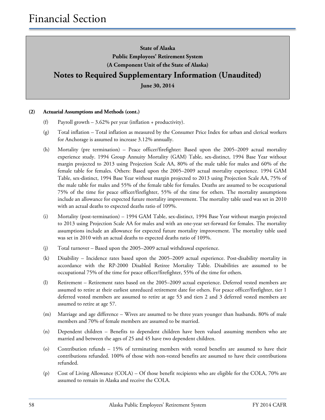**June 30, 2014**

#### **(2) Actuarial Assumptions and Methods (cont.)**

- (f) Payroll growth  $-3.62\%$  per year (inflation + productivity).
- (g) Total inflation Total inflation as measured by the Consumer Price Index for urban and clerical workers for Anchorage is assumed to increase 3.12% annually.
- (h) Mortality (pre termination) Peace officer/firefighter: Based upon the 2005–2009 actual mortality experience study. 1994 Group Annuity Mortality (GAM) Table, sex-distinct, 1994 Base Year without margin projected to 2013 using Projection Scale AA, 80% of the male table for males and 60% of the female table for females. Others: Based upon the 2005–2009 actual mortality experience. 1994 GAM Table, sex-distinct, 1994 Base Year without margin projected to 2013 using Projection Scale AA, 75% of the male table for males and 55% of the female table for females. Deaths are assumed to be occupational 75% of the time for peace officer/firefighter, 55% of the time for others. The mortality assumptions include an allowance for expected future mortality improvement. The mortality table used was set in 2010 with an actual deaths to expected deaths ratio of 109%.
- (i) Mortality (post-termination) 1994 GAM Table, sex-distinct, 1994 Base Year without margin projected to 2013 using Projection Scale AA for males and with an one-year set-forward for females. The mortality assumptions include an allowance for expected future mortality improvement. The mortality table used was set in 2010 with an actual deaths to expected deaths ratio of 109%.
- (j) Total turnover Based upon the 2005–2009 actual withdrawal experience.
- (k) Disability Incidence rates based upon the 2005–2009 actual experience. Post-disability mortality in accordance with the RP-2000 Disabled Retiree Mortality Table. Disabilities are assumed to be occupational 75% of the time for peace officer/firefighter, 55% of the time for others.
- (l) Retirement Retirement rates based on the 2005–2009 actual experience. Deferred vested members are assumed to retire at their earliest unreduced retirement date for others. For peace officer/firefighter, tier 1 deferred vested members are assumed to retire at age 53 and tiers 2 and 3 deferred vested members are assumed to retire at age 57.
- (m) Marriage and age difference Wives are assumed to be three years younger than husbands. 80% of male members and 70% of female members are assumed to be married.
- (n) Dependent children Benefits to dependent children have been valued assuming members who are married and between the ages of 25 and 45 have two dependent children.
- (o) Contribution refunds 15% of terminating members with vested benefits are assumed to have their contributions refunded. 100% of those with non-vested benefits are assumed to have their contributions refunded.
- (p) Cost of Living Allowance (COLA) Of those benefit recipients who are eligible for the COLA, 70% are assumed to remain in Alaska and receive the COLA.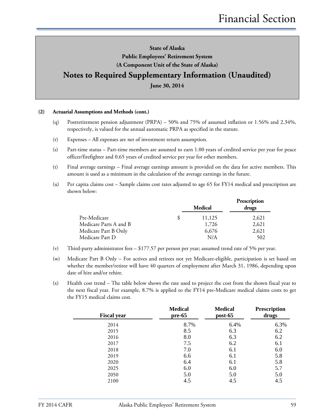### **Public Employees' Retirement System (A Component Unit of the State of Alaska)**

# **Notes to Required Supplementary Information (Unaudited)**

**June 30, 2014**

#### **(2) Actuarial Assumptions and Methods (cont.)**

- (q) Postretirement pension adjustment (PRPA) 50% and 75% of assumed inflation or 1.56% and 2.34%, respectively, is valued for the annual automatic PRPA as specified in the statute.
- (r) Expenses All expenses are net of investment return assumption.
- (s) Part-time status Part-time members are assumed to earn 1.00 years of credited service per year for peace officer/firefighter and 0.65 years of credited service per year for other members.
- (t) Final average earnings Final average earnings amount is provided on the data for active members. This amount is used as a minimum in the calculation of the average earnings in the future.
- (u) Per capita claims cost Sample claims cost rates adjusted to age 65 for FY14 medical and prescription are shown below:

|                        |   | Medical | Prescription<br>drugs |
|------------------------|---|---------|-----------------------|
| Pre-Medicare           | S | 11,125  | 2,621                 |
| Medicare Parts A and B |   | 1,726   | 2,621                 |
| Medicare Part B Only   |   | 6,676   | 2,621                 |
| Medicare Part D        |   | N/A     | 502                   |

- (v) Third-party administrator fees \$177.57 per person per year; assumed trend rate of 5% per year.
- (w) Medicare Part B Only For actives and retirees not yet Medicare-eligible, participation is set based on whether the member/retiree will have 40 quarters of employment after March 31, 1986, depending upon date of hire and/or rehire.
- (x) Health cost trend The table below shows the rate used to project the cost from the shown fiscal year to the next fiscal year. For example, 8.7% is applied to the FY14 pre-Medicare medical claims costs to get the FY15 medical claims cost.

| <b>Fiscal year</b> | <b>Medical</b><br>$pre-65$ | <b>Medical</b><br>$post-65$ | <b>Prescription</b><br>drugs |
|--------------------|----------------------------|-----------------------------|------------------------------|
| 2014               | 8.7%                       | 6.4%                        | 6.3%                         |
| 2015               | 8.5                        | 6.3                         | 6.2                          |
| 2016               | 8.0                        | 6.3                         | 6.2                          |
| 2017               | 7.5                        | 6.2                         | 6.1                          |
| 2018               | 7.0                        | 6.1                         | 6.0                          |
| 2019               | 6.6                        | 6.1                         | 5.8                          |
| 2020               | 6.4                        | 6.1                         | 5.8                          |
| 2025               | 6.0                        | 6.0                         | 5.7                          |
| 2050               | 5.0                        | 5.0                         | 5.0                          |
| 2100               | 4.5                        | 4.5                         | 4.5                          |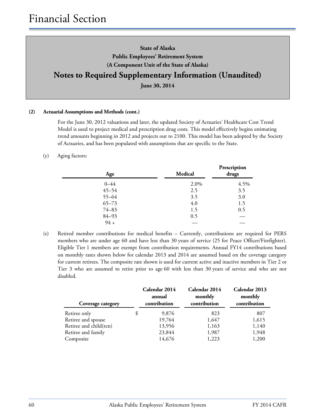#### **(2) Actuarial Assumptions and Methods (cont.)**

For the June 30, 2012 valuations and later, the updated Society of Actuaries' Healthcare Cost Trend Model is used to project medical and prescription drug costs. This model effectively begins estimating trend amounts beginning in 2012 and projects out to 2100. This model has been adopted by the Society of Actuaries, and has been populated with assumptions that are specific to the State.

#### (y) Aging factors:

| Age       | Medical | Prescription<br>drugs |
|-----------|---------|-----------------------|
| $0 - 44$  | 2.0%    | 4.5%                  |
| $45 - 54$ | 2.5     | 3.5                   |
| $55 - 64$ | 3.5     | 3.0                   |
| $65 - 73$ | 4.0     | 1.5                   |
| $74 - 83$ | 1.5     | 0.5                   |
| $84 - 93$ | 0.5     |                       |
| $94 +$    |         |                       |

(z) Retired member contributions for medical benefits – Currently, contributions are required for PERS members who are under age 60 and have less than 30 years of service (25 for Peace Officer/Firefighter). Eligible Tier 1 members are exempt from contribution requirements. Annual FY14 contributions based on monthly rates shown below for calendar 2013 and 2014 are assumed based on the coverage category for current retirees. The composite rate shown is used for current active and inactive members in Tier 2 or Tier 3 who are assumed to retire prior to age 60 with less than 30 years of service and who are not disabled.

| Coverage category      | Calendar 2014<br>annual<br>contribution | Calendar 2014<br>monthly<br>contribution | Calendar 2013<br>monthly<br>contribution |
|------------------------|-----------------------------------------|------------------------------------------|------------------------------------------|
| Retiree only           | \$<br>9,876                             | 823                                      | 807                                      |
| Retiree and spouse     | 19,764                                  | 1,647                                    | 1,615                                    |
| Retiree and child(ren) | 13,956                                  | 1,163                                    | 1,140                                    |
| Retiree and family     | 23,844                                  | 1,987                                    | 1,948                                    |
| Composite              | 14,676                                  | 1,223                                    | 1,200                                    |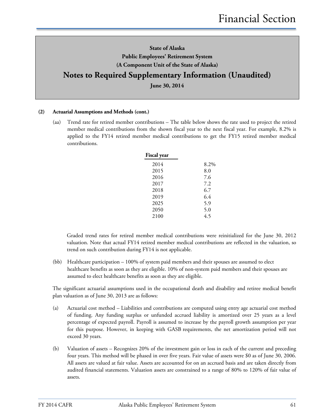#### **(2) Actuarial Assumptions and Methods (cont.)**

(aa) Trend rate for retired member contributions – The table below shows the rate used to project the retired member medical contributions from the shown fiscal year to the next fiscal year. For example, 8.2% is applied to the FY14 retired member medical contributions to get the FY15 retired member medical contributions.

| 8.2% |
|------|
| 8.0  |
| 7.6  |
| 7.2  |
| 6.7  |
| 6.4  |
| 5.9  |
| 5.0  |
| 4.5  |
|      |

Graded trend rates for retired member medical contributions were reinitialized for the June 30, 2012 valuation. Note that actual FY14 retired member medical contributions are reflected in the valuation, so trend on such contribution during FY14 is not applicable.

(bb) Healthcare participation – 100% of system paid members and their spouses are assumed to elect healthcare benefits as soon as they are eligible. 10% of non-system paid members and their spouses are assumed to elect healthcare benefits as soon as they are eligible.

The significant actuarial assumptions used in the occupational death and disability and retiree medical benefit plan valuation as of June 30, 2013 are as follows:

- (a) Actuarial cost method Liabilities and contributions are computed using entry age actuarial cost method of funding. Any funding surplus or unfunded accrued liability is amortized over 25 years as a level percentage of expected payroll. Payroll is assumed to increase by the payroll growth assumption per year for this purpose. However, in keeping with GASB requirements, the net amortization period will not exceed 30 years.
- (b) Valuation of assets Recognizes 20% of the investment gain or loss in each of the current and preceding four years. This method will be phased in over five years. Fair value of assets were \$0 as of June 30, 2006. All assets are valued at fair value. Assets are accounted for on an accrued basis and are taken directly from audited financial statements. Valuation assets are constrained to a range of 80% to 120% of fair value of assets.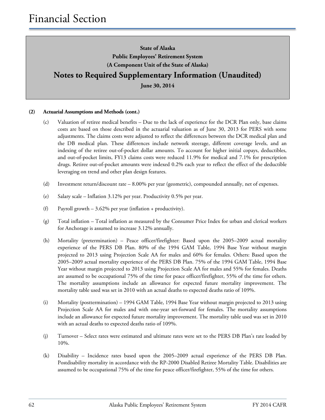#### **(2) Actuarial Assumptions and Methods (cont.)**

- (c) Valuation of retiree medical benefits Due to the lack of experience for the DCR Plan only, base claims costs are based on those described in the actuarial valuation as of June 30, 2013 for PERS with some adjustments. The claims costs were adjusted to reflect the differences between the DCR medical plan and the DB medical plan. These differences include network steerage, different coverage levels, and an indexing of the retiree out-of-pocket dollar amounts. To account for higher initial copays, deductibles, and out-of-pocket limits, FY13 claims costs were reduced 11.9% for medical and 7.1% for prescription drugs. Retiree out-of-pocket amounts were indexed 0.2% each year to reflect the effect of the deductible leveraging on trend and other plan design features.
- (d) Investment return/discount rate 8.00% per year (geometric), compounded annually, net of expenses.
- (e) Salary scale Inflation 3.12% per year. Productivity 0.5% per year.
- (f) Payroll growth  $-3.62\%$  per year (inflation + productivity).
- (g) Total inflation Total inflation as measured by the Consumer Price Index for urban and clerical workers for Anchorage is assumed to increase 3.12% annually.
- (h) Mortality (pretermination) Peace officer/firefighter: Based upon the 2005–2009 actual mortality experience of the PERS DB Plan. 80% of the 1994 GAM Table, 1994 Base Year without margin projected to 2013 using Projection Scale AA for males and 60% for females. Others: Based upon the 2005–2009 actual mortality experience of the PERS DB Plan. 75% of the 1994 GAM Table, 1994 Base Year without margin projected to 2013 using Projection Scale AA for males and 55% for females. Deaths are assumed to be occupational 75% of the time for peace officer/firefighter, 55% of the time for others. The mortality assumptions include an allowance for expected future mortality improvement. The mortality table used was set in 2010 with an actual deaths to expected deaths ratio of 109%.
- (i) Mortality (posttermination) 1994 GAM Table, 1994 Base Year without margin projected to 2013 using Projection Scale AA for males and with one-year set-forward for females. The mortality assumptions include an allowance for expected future mortality improvement. The mortality table used was set in 2010 with an actual deaths to expected deaths ratio of 109%.
- (j) Turnover Select rates were estimated and ultimate rates were set to the PERS DB Plan's rate loaded by 10%.
- (k) Disability Incidence rates based upon the 2005–2009 actual experience of the PERS DB Plan. Postdisability mortality in accordance with the RP-2000 Disabled Retiree Mortality Table. Disabilities are assumed to be occupational 75% of the time for peace officer/firefighter, 55% of the time for others.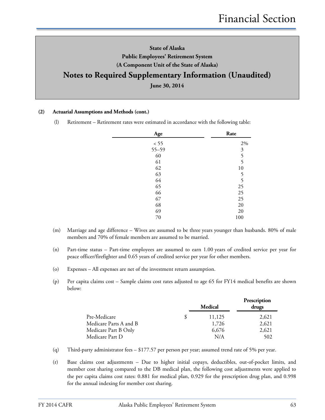#### **(2) Actuarial Assumptions and Methods (cont.)**

(l) Retirement – Retirement rates were estimated in accordance with the following table:

| Age       | Rate           |
|-----------|----------------|
| < 55      | $2\%$          |
| $55 - 59$ | $\mathfrak{Z}$ |
| 60        | 5              |
| 61        | 5              |
| 62        | 10             |
| 63        | 5              |
| 64        | 5              |
| 65        | 25             |
| 66        | 25             |
| 67        | 25             |
| 68        | 20             |
| 69        | 20             |
| 70        | 100            |

- (m) Marriage and age difference Wives are assumed to be three years younger than husbands. 80% of male members and 70% of female members are assumed to be married.
- (n) Part-time status Part-time employees are assumed to earn 1.00 years of credited service per year for peace officer/firefighter and 0.65 years of credited service per year for other members.
- (o) Expenses All expenses are net of the investment return assumption.
- (p) Per capita claims cost Sample claims cost rates adjusted to age 65 for FY14 medical benefits are shown below:

|                        | Medical | Prescription<br>drugs |
|------------------------|---------|-----------------------|
| Pre-Medicare           | 11,125  | 2,621                 |
| Medicare Parts A and B | 1,726   | 2,621                 |
| Medicare Part B Only   | 6,676   | 2,621                 |
| Medicare Part D        | N/A     | 502                   |

- (q) Third-party administrator fees \$177.57 per person per year; assumed trend rate of 5% per year.
- (r) Base claims cost adjustments Due to higher initial copays, deductibles, out-of-pocket limits, and member cost sharing compared to the DB medical plan, the following cost adjustments were applied to the per capita claims cost rates: 0.881 for medical plan, 0.929 for the prescription drug plan, and 0.998 for the annual indexing for member cost sharing.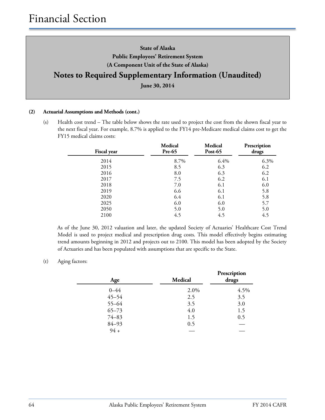**June 30, 2014**

### **(2) Actuarial Assumptions and Methods (cont.)**

(s) Health cost trend – The table below shows the rate used to project the cost from the shown fiscal year to the next fiscal year. For example, 8.7% is applied to the FY14 pre-Medicare medical claims cost to get the FY15 medical claims costs:

| <b>Fiscal year</b> | <b>Medical</b><br>Pre-65 | Medical<br>Post-65 | Prescription<br>drugs |
|--------------------|--------------------------|--------------------|-----------------------|
| 2014               | 8.7%                     | 6.4%               | 6.3%                  |
| 2015               | 8.5                      | 6.3                | 6.2                   |
| 2016               | 8.0                      | 6.3                | 6.2                   |
| 2017               | 7.5                      | 6.2                | 6.1                   |
| 2018               | 7.0                      | 6.1                | 6.0                   |
| 2019               | 6.6                      | 6.1                | 5.8                   |
| 2020               | 6.4                      | 6.1                | 5.8                   |
| 2025               | 6.0                      | 6.0                | 5.7                   |
| 2050               | 5.0                      | 5.0                | 5.0                   |
| 2100               | 4.5                      | 4.5                | 4.5                   |

As of the June 30, 2012 valuation and later, the updated Society of Actuaries' Healthcare Cost Trend Model is used to project medical and prescription drug costs. This model effectively begins estimating trend amounts beginning in 2012 and projects out to 2100. This model has been adopted by the Society of Actuaries and has been populated with assumptions that are specific to the State.

### (t) Aging factors:

| Medical | Prescription<br>drugs |
|---------|-----------------------|
| 2.0%    | 4.5%                  |
| 2.5     | 3.5                   |
| 3.5     | 3.0                   |
| 4.0     | 1.5                   |
| 1.5     | 0.5                   |
| 0.5     |                       |
|         |                       |
|         |                       |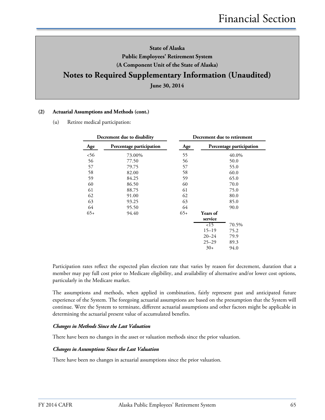**June 30, 2014**

#### **(2) Actuarial Assumptions and Methods (cont.)**

(u) Retiree medical participation:

| Decrement due to disability |                          | Decrement due to retirement |           |                          |  |
|-----------------------------|--------------------------|-----------------------------|-----------|--------------------------|--|
| Age                         | Percentage participation | Age                         |           | Percentage participation |  |
| $<$ 56                      | 73.00%                   | 55                          |           | 40.0%                    |  |
| 56                          | 77.50                    | 56                          |           | 50.0                     |  |
| 57                          | 79.75                    | 57                          |           | 55.0                     |  |
| 58                          | 82.00                    | 58                          |           | 60.0                     |  |
| 59                          | 84.25                    | 59                          |           | 65.0                     |  |
| 60                          | 86.50                    | 60                          |           | 70.0                     |  |
| 61                          | 88.75                    | 61                          |           | 75.0                     |  |
| 62                          | 91.00                    | 62                          |           | 80.0                     |  |
| 63                          | 93.25                    | 63                          |           | 85.0                     |  |
| 64                          | 95.50                    | 64                          |           | 90.0                     |  |
| $65+$                       | 94.40                    | $65+$                       | Years of  |                          |  |
|                             |                          |                             | service   |                          |  |
|                             |                          |                             | <15       | 70.5%                    |  |
|                             |                          |                             | $15 - 19$ | 75.2                     |  |
|                             |                          |                             | $20 - 24$ | 79.9                     |  |
|                             |                          |                             | $25 - 29$ | 89.3                     |  |
|                             |                          |                             | $30+$     | 94.0                     |  |
|                             |                          |                             |           |                          |  |

Participation rates reflect the expected plan election rate that varies by reason for decrement, duration that a member may pay full cost prior to Medicare eligibility, and availability of alternative and/or lower cost options, particularly in the Medicare market.

The assumptions and methods, when applied in combination, fairly represent past and anticipated future experience of the System. The foregoing actuarial assumptions are based on the presumption that the System will continue. Were the System to terminate, different actuarial assumptions and other factors might be applicable in determining the actuarial present value of accumulated benefits.

#### *Changes in Methods Since the Last Valuation*

There have been no changes in the asset or valuation methods since the prior valuation.

#### *Changes in Assumptions Since the Last Valuation*

There have been no changes in actuarial assumptions since the prior valuation.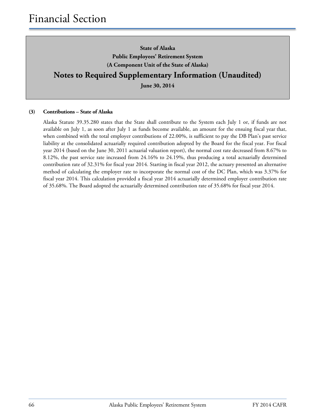**June 30, 2014**

#### **(3) Contributions – State of Alaska**

Alaska Statute 39.35.280 states that the State shall contribute to the System each July 1 or, if funds are not available on July 1, as soon after July 1 as funds become available, an amount for the ensuing fiscal year that, when combined with the total employer contributions of 22.00%, is sufficient to pay the DB Plan's past service liability at the consolidated actuarially required contribution adopted by the Board for the fiscal year. For fiscal year 2014 (based on the June 30, 2011 actuarial valuation report), the normal cost rate decreased from 8.67% to 8.12%, the past service rate increased from 24.16% to 24.19%, thus producing a total actuarially determined contribution rate of 32.31% for fiscal year 2014. Starting in fiscal year 2012, the actuary presented an alternative method of calculating the employer rate to incorporate the normal cost of the DC Plan, which was 3.37% for fiscal year 2014. This calculation provided a fiscal year 2014 actuarially determined employer contribution rate of 35.68%. The Board adopted the actuarially determined contribution rate of 35.68% for fiscal year 2014.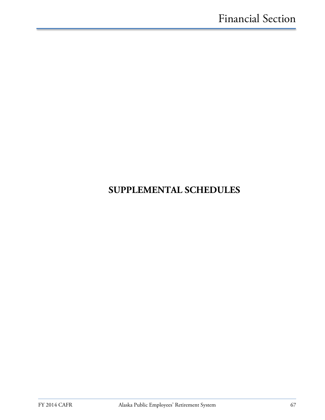# **SUPPLEMENTAL SCHEDULES**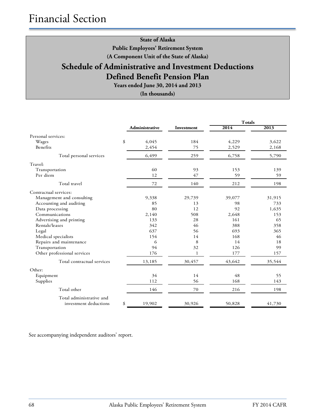**Public Employees' Retirement System**

**(A Component Unit of the State of Alaska)**

## **Schedule of Administrative and Investment Deductions Defined Benefit Pension Plan**

**Years ended June 30, 2014 and 2013**

**(In thousands)**

|                             |                       |            |        | <b>T</b> otals |  |  |
|-----------------------------|-----------------------|------------|--------|----------------|--|--|
|                             | <b>Administrative</b> | Investment | 2014   | 2013           |  |  |
| Personal services:          |                       |            |        |                |  |  |
| \$<br>Wages                 | 4,045                 | 184        | 4,229  | 3,622          |  |  |
| Benefits                    | 2,454                 | 75         | 2,529  | 2,168          |  |  |
| Total personal services     | 6,499                 | 259        | 6,758  | 5,790          |  |  |
| Travel:                     |                       |            |        |                |  |  |
| Transportation              | 60                    | 93         | 153    | 139            |  |  |
| Per diem                    | 12                    | 47         | 59     | 59             |  |  |
| Total travel                | 72                    | 140        | 212    | 198            |  |  |
| Contractual services:       |                       |            |        |                |  |  |
| Management and consulting   | 9,338                 | 29,739     | 39,077 | 31,915         |  |  |
| Accounting and auditing     | 85                    | 13         | 98     | 733            |  |  |
| Data processing             | 80                    | 12         | 92     | 1,635          |  |  |
| Communications              | 2,140                 | 508        | 2,648  | 153            |  |  |
| Advertising and printing    | 133                   | 28         | 161    | 65             |  |  |
| Rentals/leases              | 342                   | 46         | 388    | 358            |  |  |
| Legal                       | 637                   | 56         | 693    | 365            |  |  |
| Medical specialists         | 154                   | 14         | 168    | 46             |  |  |
| Repairs and maintenance     | 6                     | 8          | 14     | 18             |  |  |
| Transportation              | 94                    | 32         | 126    | 99             |  |  |
| Other professional services | 176                   | 1          | 177    | 157            |  |  |
| Total contractual services  | 13,185                | 30,457     | 43,642 | 35,544         |  |  |
| Other:                      |                       |            |        |                |  |  |
| Equipment                   | 34                    | 14         | 48     | 55             |  |  |
| Supplies                    | 112                   | 56         | 168    | 143            |  |  |
| Total other                 | 146                   | 70         | 216    | 198            |  |  |
| Total administrative and    |                       |            |        |                |  |  |
| investment deductions<br>\$ | 19,902                | 30,926     | 50,828 | 41,730         |  |  |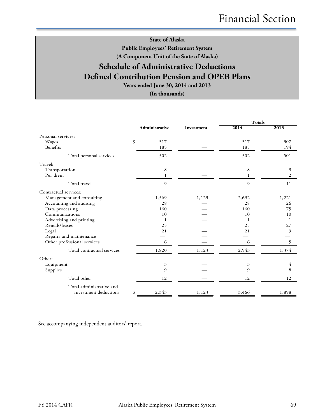**Public Employees' Retirement System**

**(A Component Unit of the State of Alaska)**

# **Schedule of Administrative Deductions Defined Contribution Pension and OPEB Plans**

**Years ended June 30, 2014 and 2013**

**(In thousands)**

|                             |                |            | <b>T</b> otals |       |  |
|-----------------------------|----------------|------------|----------------|-------|--|
|                             | Administrative | Investment | 2014           | 2013  |  |
| Personal services:          |                |            |                |       |  |
| \$<br>Wages                 | 317            |            | 317            | 307   |  |
| Benefits                    | 185            |            | 185            | 194   |  |
| Total personal services     | 502            |            | 502            | 501   |  |
| Travel:                     |                |            |                |       |  |
| Transportation              | 8              |            | 8              | 9     |  |
| Per diem                    | 1              |            | 1              | 2     |  |
| Total travel                | 9              |            | 9              | 11    |  |
| Contractual services:       |                |            |                |       |  |
| Management and consulting   | 1,569          | 1,123      | 2,692          | 1,221 |  |
| Accounting and auditing     | 28             |            | 28             | 26    |  |
| Data processing             | 160            |            | 160            | 75    |  |
| Communications              | 10             |            | 10             | 10    |  |
| Advertising and printing    | 1              |            | J.             | 1     |  |
| Rentals/leases              | 25             |            | 25             | 27    |  |
| Legal                       | 21             |            | 21             | 9     |  |
| Repairs and maintenance     |                |            |                |       |  |
| Other professional services | 6              |            | 6              | 5     |  |
| Total contractual services  | 1,820          | 1,123      | 2,943          | 1,374 |  |
| Other:                      |                |            |                |       |  |
| Equipment                   | 3              |            | 3              | 4     |  |
| Supplies                    | 9              |            | 9              | 8     |  |
| Total other                 | 12             |            | 12             | 12    |  |
| Total administrative and    |                |            |                |       |  |
| investment deductions<br>\$ | 2,343          | 1,123      | 3,466          | 1,898 |  |